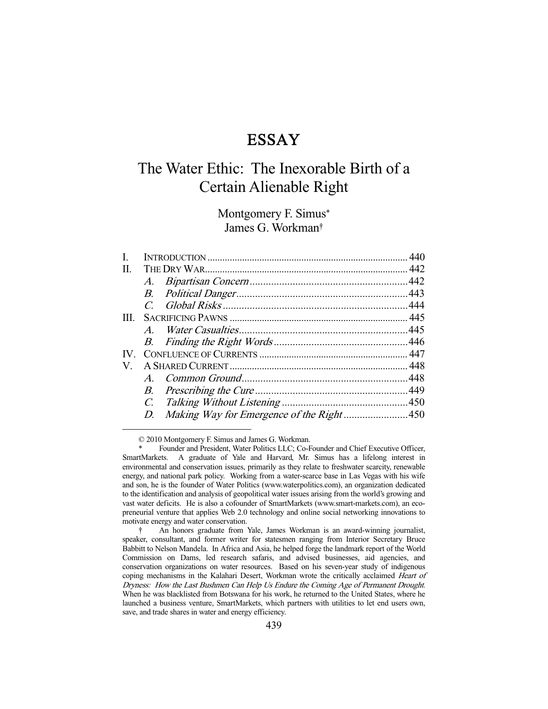# ESSAY

# The Water Ethic: The Inexorable Birth of a Certain Alienable Right

Montgomery F. Simus\* James G. Workman†

| L.  |                |  |  |
|-----|----------------|--|--|
| Π.  |                |  |  |
|     |                |  |  |
|     |                |  |  |
|     |                |  |  |
| III |                |  |  |
|     | $\overline{A}$ |  |  |
|     |                |  |  |
| IV. |                |  |  |
| V.  |                |  |  |
|     |                |  |  |
|     |                |  |  |
|     |                |  |  |
|     |                |  |  |
|     |                |  |  |

© 2010 Montgomery F. Simus and James G. Workman.

Founder and President, Water Politics LLC; Co-Founder and Chief Executive Officer, SmartMarkets. A graduate of Yale and Harvard, Mr. Simus has a lifelong interest in environmental and conservation issues, primarily as they relate to freshwater scarcity, renewable energy, and national park policy. Working from a water-scarce base in Las Vegas with his wife and son, he is the founder of Water Politics (www.waterpolitics.com), an organization dedicated to the identification and analysis of geopolitical water issues arising from the world's growing and vast water deficits. He is also a cofounder of SmartMarkets (www.smart-markets.com), an ecopreneurial venture that applies Web 2.0 technology and online social networking innovations to motivate energy and water conservation.

 <sup>†</sup> An honors graduate from Yale, James Workman is an award-winning journalist, speaker, consultant, and former writer for statesmen ranging from Interior Secretary Bruce Babbitt to Nelson Mandela. In Africa and Asia, he helped forge the landmark report of the World Commission on Dams, led research safaris, and advised businesses, aid agencies, and conservation organizations on water resources. Based on his seven-year study of indigenous coping mechanisms in the Kalahari Desert, Workman wrote the critically acclaimed Heart of Dryness: How the Last Bushmen Can Help Us Endure the Coming Age of Permanent Drought. When he was blacklisted from Botswana for his work, he returned to the United States, where he launched a business venture, SmartMarkets, which partners with utilities to let end users own, save, and trade shares in water and energy efficiency.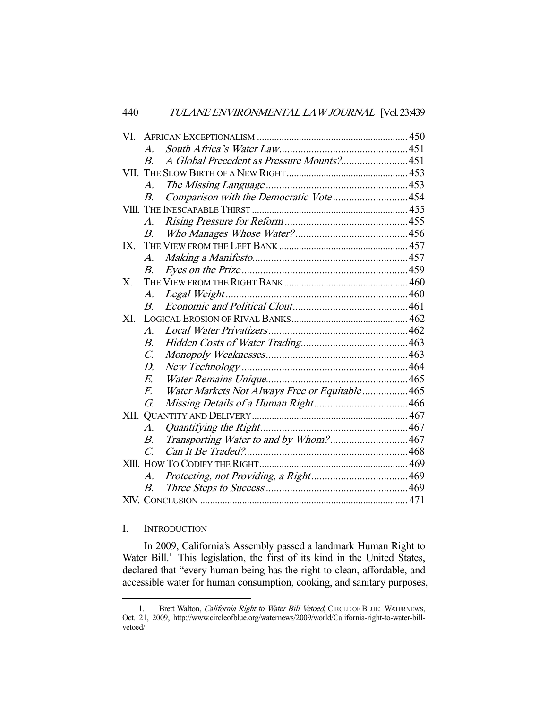|          | $\boldsymbol{A}$ |                                               |  |
|----------|------------------|-----------------------------------------------|--|
|          | $\boldsymbol{B}$ | A Global Precedent as Pressure Mounts?451     |  |
|          |                  |                                               |  |
|          | $\overline{A}$ . |                                               |  |
|          | B.               | Comparison with the Democratic Vote454        |  |
|          |                  |                                               |  |
|          | $A$ .            |                                               |  |
|          | $B_{\cdot}$      |                                               |  |
| $IX_{-}$ |                  |                                               |  |
|          | A.               |                                               |  |
|          | В.               |                                               |  |
| Х.       |                  |                                               |  |
|          | A.               |                                               |  |
|          | $B_{\cdot}$      |                                               |  |
| XI.      |                  |                                               |  |
|          | $\mathcal{A}.$   |                                               |  |
|          | <i>B.</i>        |                                               |  |
|          | $\mathcal{C}$ .  |                                               |  |
|          | $D_{\cdot}$      |                                               |  |
|          | $E_{\cdot}$      |                                               |  |
|          | $F_{\cdot}$      | Water Markets Not Always Free or Equitable465 |  |
|          | G.               |                                               |  |
|          |                  |                                               |  |
|          | $\mathcal{A}$ .  |                                               |  |
|          | $B_{\cdot}$      | Transporting Water to and by Whom?467         |  |
|          | $\mathcal{C}$    |                                               |  |
|          |                  |                                               |  |
|          | А.               |                                               |  |
|          | $B_{\cdot}$      |                                               |  |
|          |                  |                                               |  |

# I. INTRODUCTION

-

 In 2009, California's Assembly passed a landmark Human Right to Water Bill.<sup>1</sup> This legislation, the first of its kind in the United States, declared that "every human being has the right to clean, affordable, and accessible water for human consumption, cooking, and sanitary purposes,

<sup>1.</sup> Brett Walton, *California Right to Water Bill Vetoed*, CIRCLE OF BLUE: WATERNEWS, Oct. 21, 2009, http://www.circleofblue.org/waternews/2009/world/California-right-to-water-billvetoed/.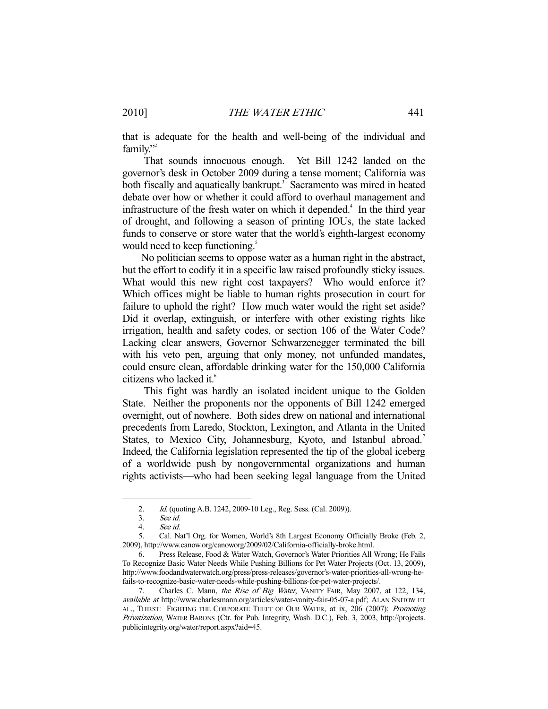that is adequate for the health and well-being of the individual and family."<sup>2</sup>

 That sounds innocuous enough. Yet Bill 1242 landed on the governor's desk in October 2009 during a tense moment; California was both fiscally and aquatically bankrupt.<sup>3</sup> Sacramento was mired in heated debate over how or whether it could afford to overhaul management and infrastructure of the fresh water on which it depended.<sup>4</sup> In the third year of drought, and following a season of printing IOUs, the state lacked funds to conserve or store water that the world's eighth-largest economy would need to keep functioning.<sup>5</sup>

 No politician seems to oppose water as a human right in the abstract, but the effort to codify it in a specific law raised profoundly sticky issues. What would this new right cost taxpayers? Who would enforce it? Which offices might be liable to human rights prosecution in court for failure to uphold the right? How much water would the right set aside? Did it overlap, extinguish, or interfere with other existing rights like irrigation, health and safety codes, or section 106 of the Water Code? Lacking clear answers, Governor Schwarzenegger terminated the bill with his veto pen, arguing that only money, not unfunded mandates, could ensure clean, affordable drinking water for the 150,000 California citizens who lacked it.<sup>6</sup>

 This fight was hardly an isolated incident unique to the Golden State. Neither the proponents nor the opponents of Bill 1242 emerged overnight, out of nowhere. Both sides drew on national and international precedents from Laredo, Stockton, Lexington, and Atlanta in the United States, to Mexico City, Johannesburg, Kyoto, and Istanbul abroad.<sup>7</sup> Indeed, the California legislation represented the tip of the global iceberg of a worldwide push by nongovernmental organizations and human rights activists—who had been seeking legal language from the United

 <sup>2.</sup> Id. (quoting A.B. 1242, 2009-10 Leg., Reg. Sess. (Cal. 2009)).

 <sup>3.</sup> See id.

 <sup>4.</sup> See id.

 <sup>5.</sup> Cal. Nat'l Org. for Women, World's 8th Largest Economy Officially Broke (Feb. 2, 2009), http://www.canow.org/canoworg/2009/02/California-officially-broke.html.

 <sup>6.</sup> Press Release, Food & Water Watch, Governor's Water Priorities All Wrong; He Fails To Recognize Basic Water Needs While Pushing Billions for Pet Water Projects (Oct. 13, 2009), http://www.foodandwaterwatch.org/press/press-releases/governor's-water-priorities-all-wrong-hefails-to-recognize-basic-water-needs-while-pushing-billions-for-pet-water-projects/.

Charles C. Mann, the Rise of Big Water, VANITY FAIR, May 2007, at 122, 134, available at http://www.charlesmann.org/articles/water-vanity-fair-05-07-a.pdf; ALAN SNITOW ET AL., THIRST: FIGHTING THE CORPORATE THEFT OF OUR WATER, at ix, 206 (2007); Promoting Privatization, WATER BARONS (Ctr. for Pub. Integrity, Wash. D.C.), Feb. 3, 2003, http://projects. publicintegrity.org/water/report.aspx?aid=45.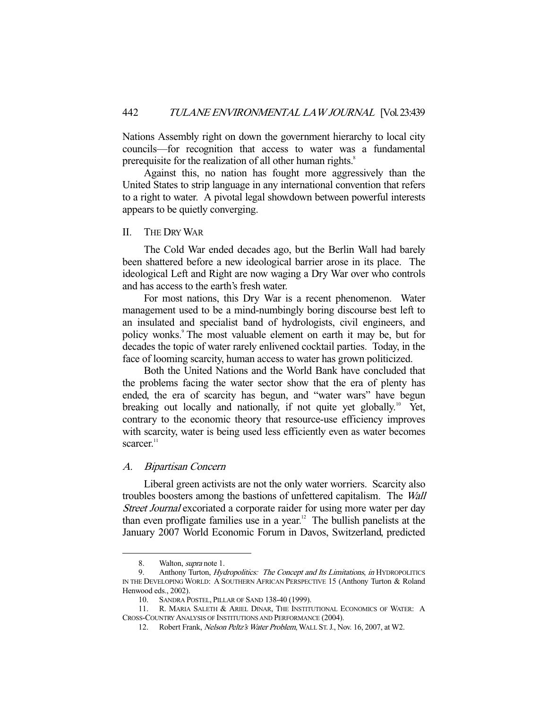Nations Assembly right on down the government hierarchy to local city councils—for recognition that access to water was a fundamental prerequisite for the realization of all other human rights.<sup>8</sup>

 Against this, no nation has fought more aggressively than the United States to strip language in any international convention that refers to a right to water. A pivotal legal showdown between powerful interests appears to be quietly converging.

## II. THE DRY WAR

 The Cold War ended decades ago, but the Berlin Wall had barely been shattered before a new ideological barrier arose in its place. The ideological Left and Right are now waging a Dry War over who controls and has access to the earth's fresh water.

 For most nations, this Dry War is a recent phenomenon. Water management used to be a mind-numbingly boring discourse best left to an insulated and specialist band of hydrologists, civil engineers, and policy wonks.<sup>9</sup> The most valuable element on earth it may be, but for decades the topic of water rarely enlivened cocktail parties. Today, in the face of looming scarcity, human access to water has grown politicized.

 Both the United Nations and the World Bank have concluded that the problems facing the water sector show that the era of plenty has ended, the era of scarcity has begun, and "water wars" have begun breaking out locally and nationally, if not quite yet globally.<sup>10</sup> Yet, contrary to the economic theory that resource-use efficiency improves with scarcity, water is being used less efficiently even as water becomes scarcer.<sup>11</sup>

#### A. Bipartisan Concern

 Liberal green activists are not the only water worriers. Scarcity also troubles boosters among the bastions of unfettered capitalism. The Wall Street Journal excoriated a corporate raider for using more water per day than even profligate families use in a year.12 The bullish panelists at the January 2007 World Economic Forum in Davos, Switzerland, predicted

<sup>8.</sup> Walton, *supra* note 1.

<sup>9.</sup> Anthony Turton, *Hydropolitics: The Concept and Its Limitations*, in HYDROPOLITICS IN THE DEVELOPING WORLD: A SOUTHERN AFRICAN PERSPECTIVE 15 (Anthony Turton & Roland Henwood eds., 2002).

<sup>10.</sup> SANDRA POSTEL, PILLAR OF SAND 138-40 (1999).<br>11. R. MARIA SALETH & ARIEL DINAR, THE INSTIT

R. MARIA SALETH & ARIEL DINAR, THE INSTITUTIONAL ECONOMICS OF WATER: A CROSS-COUNTRY ANALYSIS OF INSTITUTIONS AND PERFORMANCE (2004).

 <sup>12.</sup> Robert Frank, Nelson Peltz's Water Problem, WALL ST.J., Nov. 16, 2007, at W2.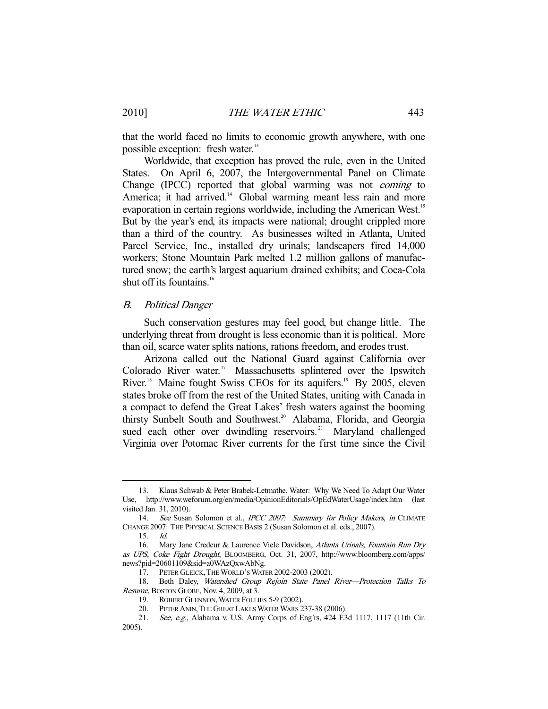that the world faced no limits to economic growth anywhere, with one possible exception: fresh water.<sup>13</sup>

 Worldwide, that exception has proved the rule, even in the United States. On April 6, 2007, the Intergovernmental Panel on Climate Change (IPCC) reported that global warming was not coming to America; it had arrived.<sup>14</sup> Global warming meant less rain and more evaporation in certain regions worldwide, including the American West.<sup>15</sup> But by the year's end, its impacts were national; drought crippled more than a third of the country. As businesses wilted in Atlanta, United Parcel Service, Inc., installed dry urinals; landscapers fired 14,000 workers; Stone Mountain Park melted 1.2 million gallons of manufactured snow; the earth's largest aquarium drained exhibits; and Coca-Cola shut off its fountains. $16$ 

#### B. Political Danger

 Such conservation gestures may feel good, but change little. The underlying threat from drought is less economic than it is political. More than oil, scarce water splits nations, rations freedom, and erodes trust.

 Arizona called out the National Guard against California over Colorado River water.<sup>17</sup> Massachusetts splintered over the Ipswitch River.<sup>18</sup> Maine fought Swiss CEOs for its aquifers.<sup>19</sup> By 2005, eleven states broke off from the rest of the United States, uniting with Canada in a compact to defend the Great Lakes' fresh waters against the booming thirsty Sunbelt South and Southwest.<sup>20</sup> Alabama, Florida, and Georgia sued each other over dwindling reservoirs.<sup>21</sup> Maryland challenged Virginia over Potomac River currents for the first time since the Civil

 <sup>13.</sup> Klaus Schwab & Peter Brabek-Letmathe, Water: Why We Need To Adapt Our Water Use, http://www.weforum.org/en/media/OpinionEditorials/OpEdWaterUsage/index.htm (last visited Jan. 31, 2010).

<sup>14.</sup> See Susan Solomon et al., IPCC 2007: Summary for Policy Makers, in CLIMATE CHANGE 2007: THE PHYSICAL SCIENCE BASIS 2 (Susan Solomon et al. eds., 2007).

 <sup>15.</sup> Id.

<sup>16.</sup> Mary Jane Credeur & Laurence Viele Davidson, Atlanta Urinals, Fountain Run Dry as UPS, Coke Fight Drought, BLOOMBERG, Oct. 31, 2007, http://www.bloomberg.com/apps/ news?pid=20601109&sid=a0WAzQxwAbNg.

 <sup>17.</sup> PETER GLEICK,THE WORLD'S WATER 2002-2003 (2002).

 <sup>18.</sup> Beth Daley, Watershed Group Rejoin State Panel River—Protection Talks To Resume, BOSTON GLOBE, Nov. 4, 2009, at 3.

 <sup>19.</sup> ROBERT GLENNON,WATER FOLLIES 5-9 (2002).

 <sup>20.</sup> PETER ANIN,THE GREAT LAKES WATER WARS 237-38 (2006).

<sup>21.</sup> See, e.g., Alabama v. U.S. Army Corps of Eng'rs, 424 F.3d 1117, 1117 (11th Cir. 2005).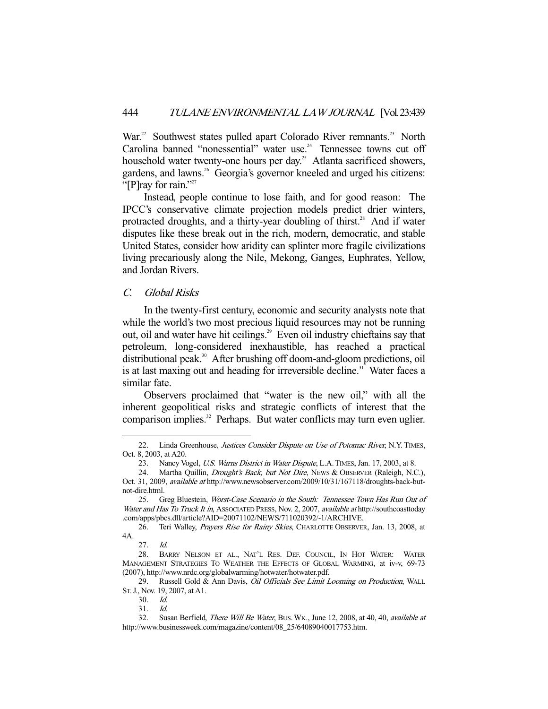War.<sup>22</sup> Southwest states pulled apart Colorado River remnants.<sup>23</sup> North Carolina banned "nonessential" water use.<sup>24</sup> Tennessee towns cut off household water twenty-one hours per day.<sup>25</sup> Atlanta sacrificed showers, gardens, and lawns.<sup>26</sup> Georgia's governor kneeled and urged his citizens: "[P]ray for rain."<sup>27</sup>

 Instead, people continue to lose faith, and for good reason: The IPCC's conservative climate projection models predict drier winters, protracted droughts, and a thirty-year doubling of thirst.<sup>28</sup> And if water disputes like these break out in the rich, modern, democratic, and stable United States, consider how aridity can splinter more fragile civilizations living precariously along the Nile, Mekong, Ganges, Euphrates, Yellow, and Jordan Rivers.

# C. Global Risks

 In the twenty-first century, economic and security analysts note that while the world's two most precious liquid resources may not be running out, oil and water have hit ceilings.<sup>29</sup> Even oil industry chieftains say that petroleum, long-considered inexhaustible, has reached a practical distributional peak.<sup>30</sup> After brushing off doom-and-gloom predictions, oil is at last maxing out and heading for irreversible decline.<sup>31</sup> Water faces a similar fate.

 Observers proclaimed that "water is the new oil," with all the inherent geopolitical risks and strategic conflicts of interest that the comparison implies.<sup>32</sup> Perhaps. But water conflicts may turn even uglier.

<sup>22.</sup> Linda Greenhouse, Justices Consider Dispute on Use of Potomac River, N.Y. TIMES, Oct. 8, 2003, at A20.

<sup>23.</sup> Nancy Vogel, U.S. Warns District in Water Dispute, L.A. TIMES, Jan. 17, 2003, at 8.

<sup>24.</sup> Martha Quillin, *Drought's Back, but Not Dire*, NEWS & OBSERVER (Raleigh, N.C.), Oct. 31, 2009, available at http://www.newsobserver.com/2009/10/31/167118/droughts-back-butnot-dire.html.

 <sup>25.</sup> Greg Bluestein, Worst-Case Scenario in the South: Tennessee Town Has Run Out of Water and Has To Truck It in, ASSOCIATED PRESS, Nov. 2, 2007, available at http://southcoasttoday .com/apps/pbcs.dll/article?AID=20071102/NEWS/711020392/-1/ARCHIVE.

<sup>26.</sup> Teri Walley, Prayers Rise for Rainy Skies, CHARLOTTE OBSERVER, Jan. 13, 2008, at 4A.

 <sup>27.</sup> Id.

 <sup>28.</sup> BARRY NELSON ET AL., NAT'L RES. DEF. COUNCIL, IN HOT WATER: WATER MANAGEMENT STRATEGIES TO WEATHER THE EFFECTS OF GLOBAL WARMING, at iv-v, 69-73 (2007), http://www.nrdc.org/globalwarming/hotwater/hotwater.pdf.

<sup>29.</sup> Russell Gold & Ann Davis, Oil Officials See Limit Looming on Production, WALL ST.J., Nov. 19, 2007, at A1.

 <sup>30.</sup> Id.

 <sup>31.</sup> Id.

 <sup>32.</sup> Susan Berfield, There Will Be Water, BUS.WK., June 12, 2008, at 40, 40, available at http://www.businessweek.com/magazine/content/08\_25/64089040017753.htm.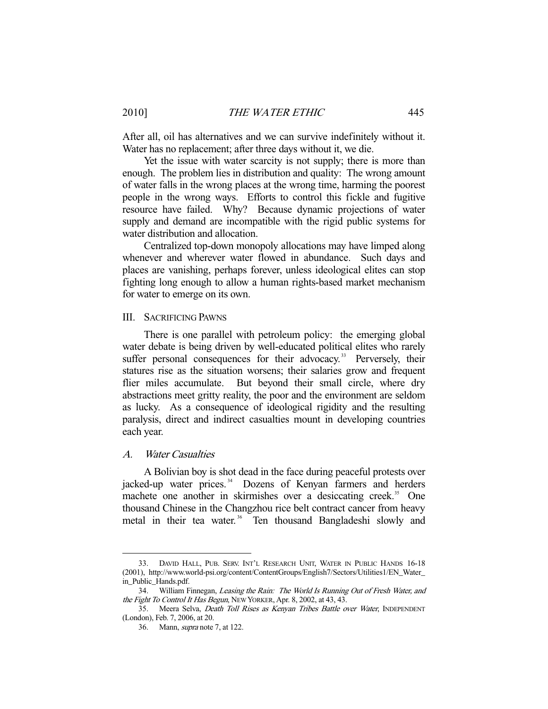After all, oil has alternatives and we can survive indefinitely without it. Water has no replacement; after three days without it, we die.

 Yet the issue with water scarcity is not supply; there is more than enough. The problem lies in distribution and quality: The wrong amount of water falls in the wrong places at the wrong time, harming the poorest people in the wrong ways. Efforts to control this fickle and fugitive resource have failed. Why? Because dynamic projections of water supply and demand are incompatible with the rigid public systems for water distribution and allocation.

 Centralized top-down monopoly allocations may have limped along whenever and wherever water flowed in abundance. Such days and places are vanishing, perhaps forever, unless ideological elites can stop fighting long enough to allow a human rights-based market mechanism for water to emerge on its own.

#### III. SACRIFICING PAWNS

 There is one parallel with petroleum policy: the emerging global water debate is being driven by well-educated political elites who rarely suffer personal consequences for their advocacy.<sup>33</sup> Perversely, their statures rise as the situation worsens; their salaries grow and frequent flier miles accumulate. But beyond their small circle, where dry abstractions meet gritty reality, the poor and the environment are seldom as lucky. As a consequence of ideological rigidity and the resulting paralysis, direct and indirect casualties mount in developing countries each year.

## A. Water Casualties

-

 A Bolivian boy is shot dead in the face during peaceful protests over jacked-up water prices.<sup>34</sup> Dozens of Kenyan farmers and herders machete one another in skirmishes over a desiccating creek.<sup>35</sup> One thousand Chinese in the Changzhou rice belt contract cancer from heavy metal in their tea water.<sup>36</sup> Ten thousand Bangladeshi slowly and

 <sup>33.</sup> DAVID HALL, PUB. SERV. INT'L RESEARCH UNIT, WATER IN PUBLIC HANDS 16-18 (2001), http://www.world-psi.org/content/ContentGroups/English7/Sectors/Utilities1/EN\_Water\_ in\_Public\_Hands.pdf.

 <sup>34.</sup> William Finnegan, Leasing the Rain: The World Is Running Out of Fresh Water, and the Fight To Control It Has Begun, NEW YORKER, Apr. 8, 2002, at 43, 43.

<sup>35.</sup> Meera Selva, *Death Toll Rises as Kenyan Tribes Battle over Water*, INDEPENDENT (London), Feb. 7, 2006, at 20.

 <sup>36.</sup> Mann, supra note 7, at 122.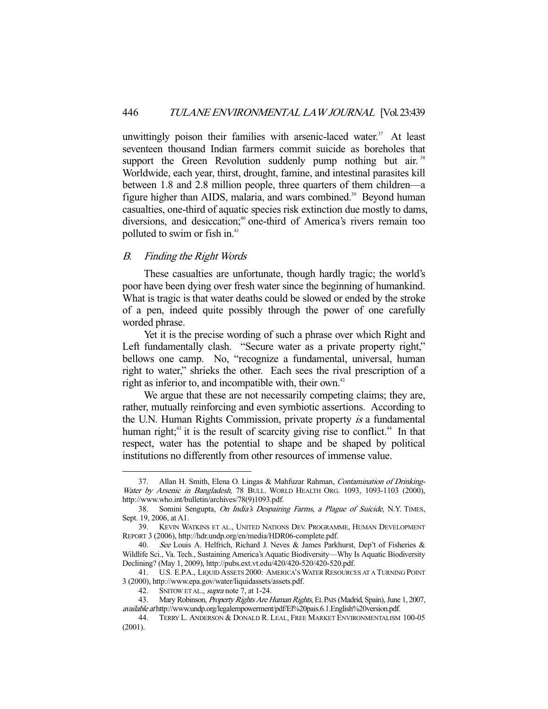unwittingly poison their families with arsenic-laced water. $37$  At least seventeen thousand Indian farmers commit suicide as boreholes that support the Green Revolution suddenly pump nothing but air.<sup>38</sup> Worldwide, each year, thirst, drought, famine, and intestinal parasites kill between 1.8 and 2.8 million people, three quarters of them children—a figure higher than AIDS, malaria, and wars combined.<sup>39</sup> Beyond human casualties, one-third of aquatic species risk extinction due mostly to dams, diversions, and desiccation;<sup>40</sup> one-third of America's rivers remain too polluted to swim or fish in. $41$ 

## B. Finding the Right Words

-

 These casualties are unfortunate, though hardly tragic; the world's poor have been dying over fresh water since the beginning of humankind. What is tragic is that water deaths could be slowed or ended by the stroke of a pen, indeed quite possibly through the power of one carefully worded phrase.

 Yet it is the precise wording of such a phrase over which Right and Left fundamentally clash. "Secure water as a private property right," bellows one camp. No, "recognize a fundamental, universal, human right to water," shrieks the other. Each sees the rival prescription of a right as inferior to, and incompatible with, their own.<sup>42</sup>

 We argue that these are not necessarily competing claims; they are, rather, mutually reinforcing and even symbiotic assertions. According to the U.N. Human Rights Commission, private property is a fundamental human right;<sup>43</sup> it is the result of scarcity giving rise to conflict.<sup>44</sup> In that respect, water has the potential to shape and be shaped by political institutions no differently from other resources of immense value.

<sup>37.</sup> Allan H. Smith, Elena O. Lingas & Mahfuzar Rahman, Contamination of Drinking-Water by Arsenic in Bangladesh, 78 BULL. WORLD HEALTH ORG. 1093, 1093-1103 (2000), http://www.who.int/bulletin/archives/78(9)1093.pdf.

<sup>38.</sup> Somini Sengupta, On India's Despairing Farms, a Plague of Suicide, N.Y. TIMES, Sept. 19, 2006, at A1.

 <sup>39.</sup> KEVIN WATKINS ET AL., UNITED NATIONS DEV. PROGRAMME, HUMAN DEVELOPMENT REPORT 3 (2006), http://hdr.undp.org/en/media/HDR06-complete.pdf.

 <sup>40.</sup> See Louis A. Helfrich, Richard J. Neves & James Parkhurst, Dep't of Fisheries & Wildlife Sci., Va. Tech., Sustaining America's Aquatic Biodiversity—Why Is Aquatic Biodiversity Declining? (May 1, 2009), http://pubs.ext.vt.edu/420/420-520/420-520.pdf.

 <sup>41.</sup> U.S. E.P.A., LIQUID ASSETS 2000: AMERICA'S WATER RESOURCES AT A TURNING POINT 3 (2000), http://www.epa.gov/water/liquidassets/assets.pdf.

<sup>42.</sup> SNITOW ET AL., *supra* note 7, at 1-24.<br>43. Mary Robinson, *Property Rights Are 1* Mary Robinson, Property Rights Are Human Rights, EL PAIS (Madrid, Spain), June 1, 2007, available at http://www.undp.org/legalempowerment/pdf/El%20pais.6.1.English%20version.pdf.

 <sup>44.</sup> TERRY L. ANDERSON & DONALD R. LEAL, FREE MARKET ENVIRONMENTALISM 100-05 (2001).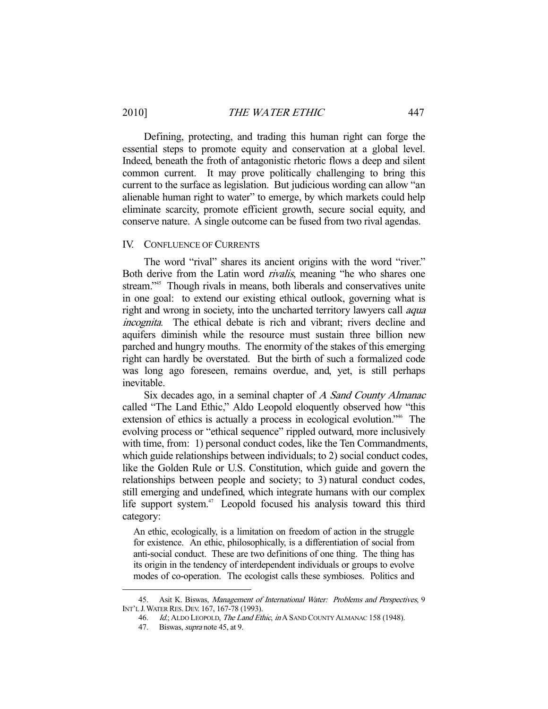Defining, protecting, and trading this human right can forge the essential steps to promote equity and conservation at a global level. Indeed, beneath the froth of antagonistic rhetoric flows a deep and silent common current. It may prove politically challenging to bring this current to the surface as legislation. But judicious wording can allow "an alienable human right to water" to emerge, by which markets could help eliminate scarcity, promote efficient growth, secure social equity, and conserve nature. A single outcome can be fused from two rival agendas.

#### IV. CONFLUENCE OF CURRENTS

 The word "rival" shares its ancient origins with the word "river." Both derive from the Latin word rivalis, meaning "he who shares one stream."<sup>45</sup> Though rivals in means, both liberals and conservatives unite in one goal: to extend our existing ethical outlook, governing what is right and wrong in society, into the uncharted territory lawyers call *aqua* incognita. The ethical debate is rich and vibrant; rivers decline and aquifers diminish while the resource must sustain three billion new parched and hungry mouths. The enormity of the stakes of this emerging right can hardly be overstated. But the birth of such a formalized code was long ago foreseen, remains overdue, and, yet, is still perhaps inevitable.

Six decades ago, in a seminal chapter of A Sand County Almanac called "The Land Ethic," Aldo Leopold eloquently observed how "this extension of ethics is actually a process in ecological evolution."46 The evolving process or "ethical sequence" rippled outward, more inclusively with time, from: 1) personal conduct codes, like the Ten Commandments, which guide relationships between individuals; to 2) social conduct codes, like the Golden Rule or U.S. Constitution, which guide and govern the relationships between people and society; to 3) natural conduct codes, still emerging and undefined, which integrate humans with our complex life support system.<sup>47</sup> Leopold focused his analysis toward this third category:

An ethic, ecologically, is a limitation on freedom of action in the struggle for existence. An ethic, philosophically, is a differentiation of social from anti-social conduct. These are two definitions of one thing. The thing has its origin in the tendency of interdependent individuals or groups to evolve modes of co-operation. The ecologist calls these symbioses. Politics and

<sup>45.</sup> Asit K. Biswas, Management of International Water: Problems and Perspectives, 9 INT'L J.WATER RES. DEV. 167, 167-78 (1993).

<sup>46.</sup> Id.; ALDO LEOPOLD, The Land Ethic, in A SAND COUNTY ALMANAC 158 (1948).

<sup>47.</sup> Biswas, *supra* note 45, at 9.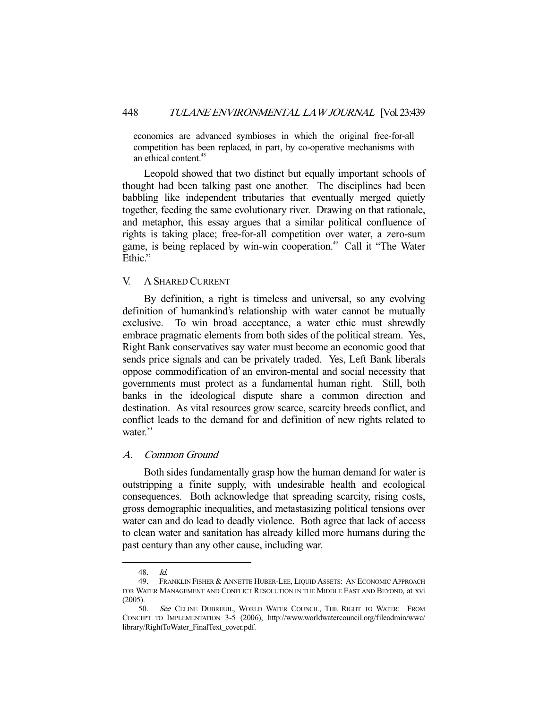economics are advanced symbioses in which the original free-for-all competition has been replaced, in part, by co-operative mechanisms with an ethical content.<sup>48</sup>

 Leopold showed that two distinct but equally important schools of thought had been talking past one another. The disciplines had been babbling like independent tributaries that eventually merged quietly together, feeding the same evolutionary river. Drawing on that rationale, and metaphor, this essay argues that a similar political confluence of rights is taking place; free-for-all competition over water, a zero-sum game, is being replaced by win-win cooperation.<sup>49</sup> Call it "The Water Ethic."

## V. A SHARED CURRENT

 By definition, a right is timeless and universal, so any evolving definition of humankind's relationship with water cannot be mutually exclusive. To win broad acceptance, a water ethic must shrewdly embrace pragmatic elements from both sides of the political stream. Yes, Right Bank conservatives say water must become an economic good that sends price signals and can be privately traded. Yes, Left Bank liberals oppose commodification of an environ-mental and social necessity that governments must protect as a fundamental human right. Still, both banks in the ideological dispute share a common direction and destination. As vital resources grow scarce, scarcity breeds conflict, and conflict leads to the demand for and definition of new rights related to water. $50$ 

## A. Common Ground

 Both sides fundamentally grasp how the human demand for water is outstripping a finite supply, with undesirable health and ecological consequences. Both acknowledge that spreading scarcity, rising costs, gross demographic inequalities, and metastasizing political tensions over water can and do lead to deadly violence. Both agree that lack of access to clean water and sanitation has already killed more humans during the past century than any other cause, including war.

 <sup>48.</sup> Id.

 <sup>49.</sup> FRANKLIN FISHER & ANNETTE HUBER-LEE, LIQUID ASSETS: AN ECONOMIC APPROACH FOR WATER MANAGEMENT AND CONFLICT RESOLUTION IN THE MIDDLE EAST AND BEYOND, at xvi (2005).

<sup>50.</sup> See CELINE DUBREUIL, WORLD WATER COUNCIL, THE RIGHT TO WATER: FROM CONCEPT TO IMPLEMENTATION 3-5 (2006), http://www.worldwatercouncil.org/fileadmin/wwc/ library/RightToWater\_FinalText\_cover.pdf.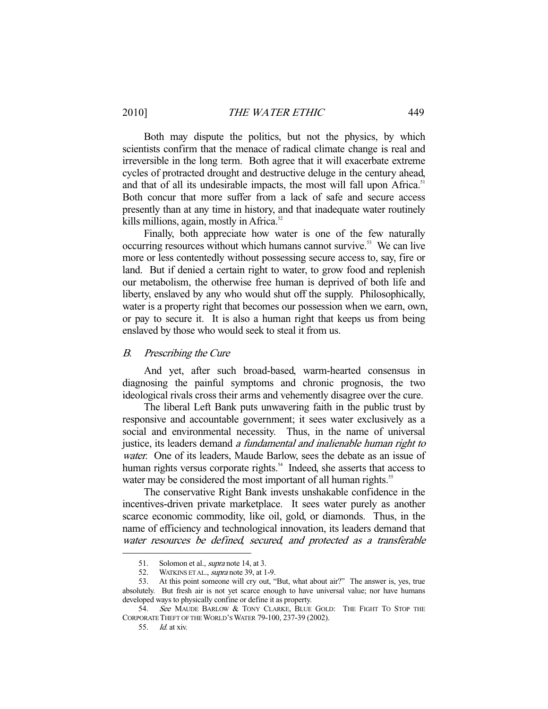Both may dispute the politics, but not the physics, by which scientists confirm that the menace of radical climate change is real and irreversible in the long term. Both agree that it will exacerbate extreme cycles of protracted drought and destructive deluge in the century ahead, and that of all its undesirable impacts, the most will fall upon Africa.<sup>51</sup> Both concur that more suffer from a lack of safe and secure access presently than at any time in history, and that inadequate water routinely kills millions, again, mostly in Africa. $52$ 

 Finally, both appreciate how water is one of the few naturally occurring resources without which humans cannot survive.<sup>53</sup> We can live more or less contentedly without possessing secure access to, say, fire or land. But if denied a certain right to water, to grow food and replenish our metabolism, the otherwise free human is deprived of both life and liberty, enslaved by any who would shut off the supply. Philosophically, water is a property right that becomes our possession when we earn, own, or pay to secure it. It is also a human right that keeps us from being enslaved by those who would seek to steal it from us.

## B. Prescribing the Cure

 And yet, after such broad-based, warm-hearted consensus in diagnosing the painful symptoms and chronic prognosis, the two ideological rivals cross their arms and vehemently disagree over the cure.

 The liberal Left Bank puts unwavering faith in the public trust by responsive and accountable government; it sees water exclusively as a social and environmental necessity. Thus, in the name of universal justice, its leaders demand a fundamental and inalienable human right to water. One of its leaders, Maude Barlow, sees the debate as an issue of human rights versus corporate rights.<sup>54</sup> Indeed, she asserts that access to water may be considered the most important of all human rights.<sup>55</sup>

 The conservative Right Bank invests unshakable confidence in the incentives-driven private marketplace. It sees water purely as another scarce economic commodity, like oil, gold, or diamonds. Thus, in the name of efficiency and technological innovation, its leaders demand that water resources be defined, secured, and protected as a transferable

<sup>51.</sup> Solomon et al., *supra* note 14, at 3.<br>52. WATKINS ET AL., *supra* note 39, at 1 WATKINS ET AL., *supra* note 39, at 1-9.

 <sup>53.</sup> At this point someone will cry out, "But, what about air?" The answer is, yes, true absolutely. But fresh air is not yet scarce enough to have universal value; nor have humans developed ways to physically confine or define it as property.

<sup>54.</sup> See MAUDE BARLOW & TONY CLARKE, BLUE GOLD: THE FIGHT TO STOP THE CORPORATE THEFT OF THE WORLD'S WATER 79-100, 237-39 (2002).

 <sup>55.</sup> Id. at xiv.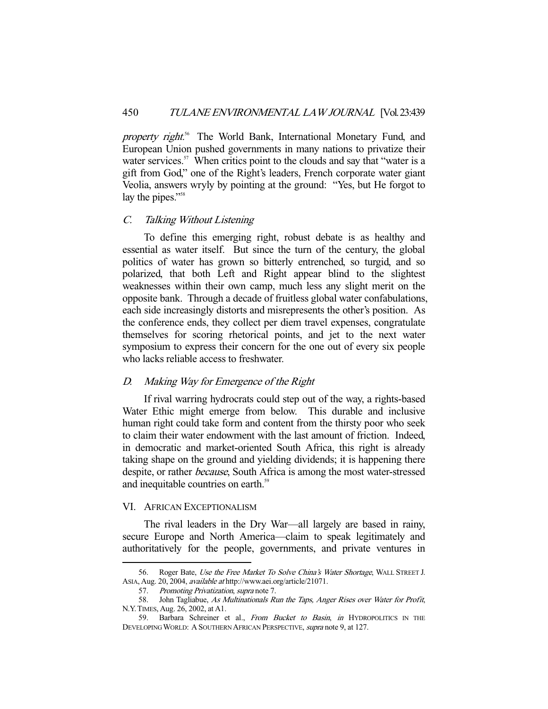property right.<sup>56</sup> The World Bank, International Monetary Fund, and European Union pushed governments in many nations to privatize their water services.<sup>57</sup> When critics point to the clouds and say that "water is a gift from God," one of the Right's leaders, French corporate water giant Veolia, answers wryly by pointing at the ground: "Yes, but He forgot to lay the pipes."<sup>58</sup>

#### C. Talking Without Listening

 To define this emerging right, robust debate is as healthy and essential as water itself. But since the turn of the century, the global politics of water has grown so bitterly entrenched, so turgid, and so polarized, that both Left and Right appear blind to the slightest weaknesses within their own camp, much less any slight merit on the opposite bank. Through a decade of fruitless global water confabulations, each side increasingly distorts and misrepresents the other's position. As the conference ends, they collect per diem travel expenses, congratulate themselves for scoring rhetorical points, and jet to the next water symposium to express their concern for the one out of every six people who lacks reliable access to freshwater.

## D. Making Way for Emergence of the Right

 If rival warring hydrocrats could step out of the way, a rights-based Water Ethic might emerge from below. This durable and inclusive human right could take form and content from the thirsty poor who seek to claim their water endowment with the last amount of friction. Indeed, in democratic and market-oriented South Africa, this right is already taking shape on the ground and yielding dividends; it is happening there despite, or rather because, South Africa is among the most water-stressed and inequitable countries on earth.<sup>59</sup>

## VI. AFRICAN EXCEPTIONALISM

-

 The rival leaders in the Dry War—all largely are based in rainy, secure Europe and North America—claim to speak legitimately and authoritatively for the people, governments, and private ventures in

<sup>56.</sup> Roger Bate, Use the Free Market To Solve China's Water Shortage, WALL STREET J. ASIA, Aug. 20, 2004, available at http://www.aei.org/article/21071.

<sup>57.</sup> Promoting Privatization, supra note 7.

<sup>58.</sup> John Tagliabue, As Multinationals Run the Taps, Anger Rises over Water for Profit, N.Y.TIMES, Aug. 26, 2002, at A1.

<sup>59.</sup> Barbara Schreiner et al., From Bucket to Basin, in HYDROPOLITICS IN THE DEVELOPING WORLD: A SOUTHERN AFRICAN PERSPECTIVE, supra note 9, at 127.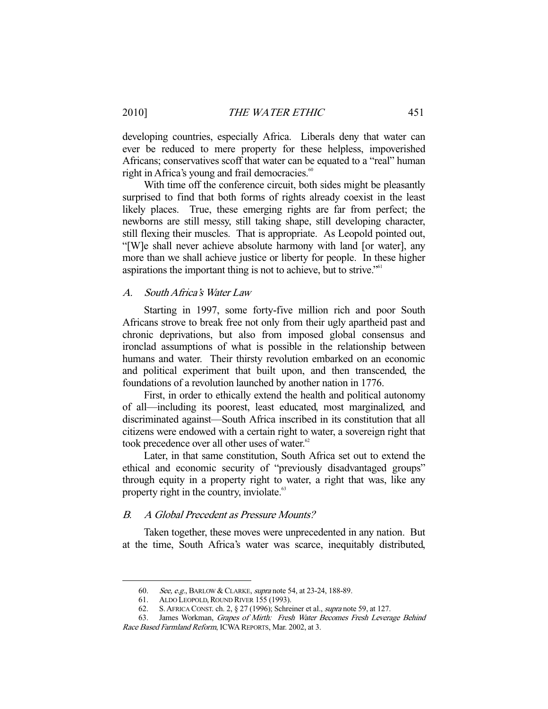developing countries, especially Africa. Liberals deny that water can ever be reduced to mere property for these helpless, impoverished Africans; conservatives scoff that water can be equated to a "real" human right in Africa's young and frail democracies. $\degree$ 

 With time off the conference circuit, both sides might be pleasantly surprised to find that both forms of rights already coexist in the least likely places. True, these emerging rights are far from perfect; the newborns are still messy, still taking shape, still developing character, still flexing their muscles. That is appropriate. As Leopold pointed out, "[W]e shall never achieve absolute harmony with land [or water], any more than we shall achieve justice or liberty for people. In these higher aspirations the important thing is not to achieve, but to strive."61

## A. South Africa's Water Law

 Starting in 1997, some forty-five million rich and poor South Africans strove to break free not only from their ugly apartheid past and chronic deprivations, but also from imposed global consensus and ironclad assumptions of what is possible in the relationship between humans and water. Their thirsty revolution embarked on an economic and political experiment that built upon, and then transcended, the foundations of a revolution launched by another nation in 1776.

 First, in order to ethically extend the health and political autonomy of all—including its poorest, least educated, most marginalized, and discriminated against—South Africa inscribed in its constitution that all citizens were endowed with a certain right to water, a sovereign right that took precedence over all other uses of water.<sup>62</sup>

 Later, in that same constitution, South Africa set out to extend the ethical and economic security of "previously disadvantaged groups" through equity in a property right to water, a right that was, like any property right in the country, inviolate.<sup>63</sup>

#### B. A Global Precedent as Pressure Mounts?

 Taken together, these moves were unprecedented in any nation. But at the time, South Africa's water was scarce, inequitably distributed,

<sup>60.</sup> See, e.g., BARLOW & CLARKE, *supra* note 54, at 23-24, 188-89.<br>61. ALDO LEOPOLD, ROUND RIVER 155 (1993).

<sup>61.</sup> ALDO LEOPOLD, ROUND RIVER 155 (1993).<br>62. S. AFRICA CONST. ch. 2, § 27 (1996): Schre

S. AFRICA CONST. ch. 2, § 27 (1996); Schreiner et al., *supra* note 59, at 127.

 <sup>63.</sup> James Workman, Grapes of Mirth: Fresh Water Becomes Fresh Leverage Behind Race Based Farmland Reform, ICWA REPORTS, Mar. 2002, at 3.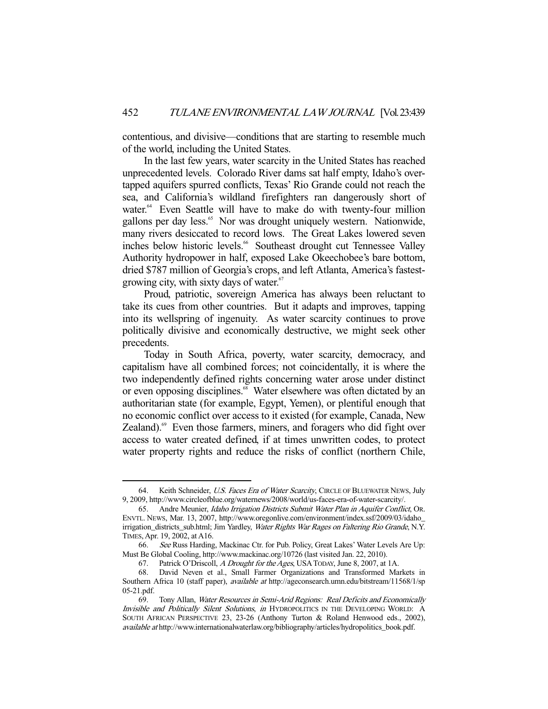contentious, and divisive—conditions that are starting to resemble much of the world, including the United States.

 In the last few years, water scarcity in the United States has reached unprecedented levels. Colorado River dams sat half empty, Idaho's overtapped aquifers spurred conflicts, Texas' Rio Grande could not reach the sea, and California's wildland firefighters ran dangerously short of water.<sup>64</sup> Even Seattle will have to make do with twenty-four million gallons per day less.<sup>65</sup> Nor was drought uniquely western. Nationwide, many rivers desiccated to record lows. The Great Lakes lowered seven inches below historic levels.<sup>66</sup> Southeast drought cut Tennessee Valley Authority hydropower in half, exposed Lake Okeechobee's bare bottom, dried \$787 million of Georgia's crops, and left Atlanta, America's fastestgrowing city, with sixty days of water.<sup>67</sup>

 Proud, patriotic, sovereign America has always been reluctant to take its cues from other countries. But it adapts and improves, tapping into its wellspring of ingenuity. As water scarcity continues to prove politically divisive and economically destructive, we might seek other precedents.

 Today in South Africa, poverty, water scarcity, democracy, and capitalism have all combined forces; not coincidentally, it is where the two independently defined rights concerning water arose under distinct or even opposing disciplines.<sup>68</sup> Water elsewhere was often dictated by an authoritarian state (for example, Egypt, Yemen), or plentiful enough that no economic conflict over access to it existed (for example, Canada, New Zealand).<sup>69</sup> Even those farmers, miners, and foragers who did fight over access to water created defined, if at times unwritten codes, to protect water property rights and reduce the risks of conflict (northern Chile,

<sup>64.</sup> Keith Schneider, U.S. Faces Era of Water Scarcity, CIRCLE OF BLUEWATER NEWS, July 9, 2009, http://www.circleofblue.org/waternews/2008/world/us-faces-era-of-water-scarcity/.

 <sup>65.</sup> Andre Meunier, Idaho Irrigation Districts Submit Water Plan in Aquifer Conflict, OR. ENVTL. NEWS, Mar. 13, 2007, http://www.oregonlive.com/environment/index.ssf/2009/03/idaho\_ irrigation\_districts\_sub.html; Jim Yardley, Water Rights War Rages on Faltering Rio Grande, N.Y. TIMES, Apr. 19, 2002, at A16.

 <sup>66.</sup> See Russ Harding, Mackinac Ctr. for Pub. Policy, Great Lakes' Water Levels Are Up: Must Be Global Cooling, http://www.mackinac.org/10726 (last visited Jan. 22, 2010).

 <sup>67.</sup> Patrick O'Driscoll, A Drought for the Ages, USATODAY, June 8, 2007, at 1A.

 <sup>68.</sup> David Neven et al., Small Farmer Organizations and Transformed Markets in Southern Africa 10 (staff paper), available at http://ageconsearch.umn.edu/bitstream/11568/1/sp 05-21.pdf.

 <sup>69.</sup> Tony Allan, Water Resources in Semi-Arid Regions: Real Deficits and Economically Invisible and Politically Silent Solutions, in HYDROPOLITICS IN THE DEVELOPING WORLD: A SOUTH AFRICAN PERSPECTIVE 23, 23-26 (Anthony Turton & Roland Henwood eds., 2002), available at http://www.internationalwaterlaw.org/bibliography/articles/hydropolitics\_book.pdf.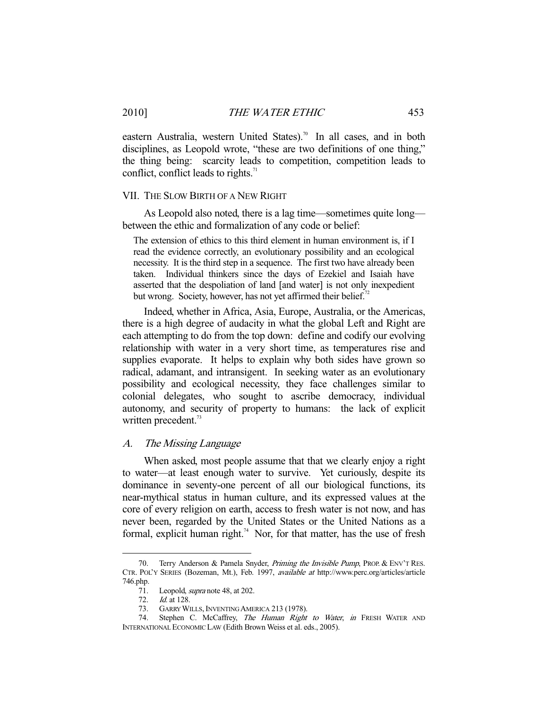eastern Australia, western United States).<sup>70</sup> In all cases, and in both disciplines, as Leopold wrote, "these are two definitions of one thing," the thing being: scarcity leads to competition, competition leads to conflict, conflict leads to rights. $71$ 

#### VII. THE SLOW BIRTH OF A NEW RIGHT

 As Leopold also noted, there is a lag time—sometimes quite long between the ethic and formalization of any code or belief:

The extension of ethics to this third element in human environment is, if I read the evidence correctly, an evolutionary possibility and an ecological necessity. It is the third step in a sequence. The first two have already been taken. Individual thinkers since the days of Ezekiel and Isaiah have asserted that the despoliation of land [and water] is not only inexpedient but wrong. Society, however, has not yet affirmed their belief.<sup>72</sup>

 Indeed, whether in Africa, Asia, Europe, Australia, or the Americas, there is a high degree of audacity in what the global Left and Right are each attempting to do from the top down: define and codify our evolving relationship with water in a very short time, as temperatures rise and supplies evaporate. It helps to explain why both sides have grown so radical, adamant, and intransigent. In seeking water as an evolutionary possibility and ecological necessity, they face challenges similar to colonial delegates, who sought to ascribe democracy, individual autonomy, and security of property to humans: the lack of explicit written precedent.<sup>73</sup>

## A. The Missing Language

 When asked, most people assume that that we clearly enjoy a right to water—at least enough water to survive. Yet curiously, despite its dominance in seventy-one percent of all our biological functions, its near-mythical status in human culture, and its expressed values at the core of every religion on earth, access to fresh water is not now, and has never been, regarded by the United States or the United Nations as a formal, explicit human right.<sup>74</sup> Nor, for that matter, has the use of fresh

<sup>70.</sup> Terry Anderson & Pamela Snyder, *Priming the Invisible Pump*, PROP. & ENV'T RES. CTR. POL'Y SERIES (Bozeman, Mt.), Feb. 1997, available at http://www.perc.org/articles/article 746.php.<br> $\frac{71}{72}$ .

Leopold, *supra* note 48, at 202.

<sup>72.</sup> *Id.* at 128.<br>73. GARRY WI GARRY WILLS, INVENTING AMERICA 213 (1978).

<sup>74.</sup> Stephen C. McCaffrey, The Human Right to Water, in FRESH WATER AND INTERNATIONAL ECONOMIC LAW (Edith Brown Weiss et al. eds., 2005).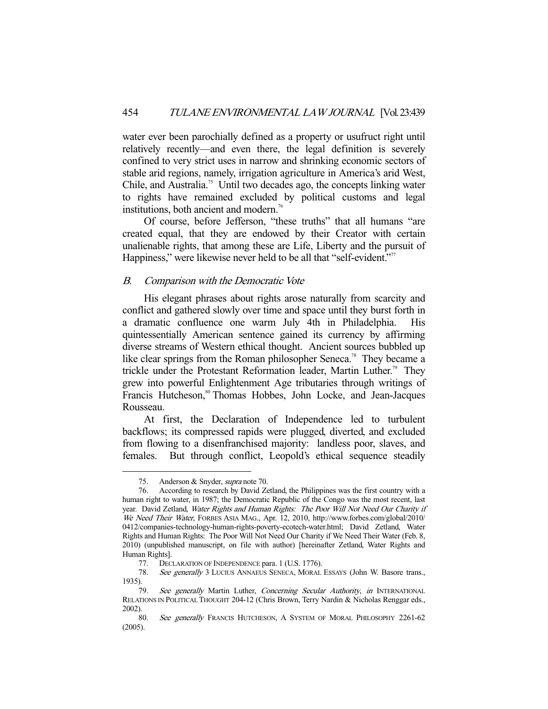water ever been parochially defined as a property or usufruct right until relatively recently—and even there, the legal definition is severely confined to very strict uses in narrow and shrinking economic sectors of stable arid regions, namely, irrigation agriculture in America's arid West, Chile, and Australia.<sup>75</sup> Until two decades ago, the concepts linking water to rights have remained excluded by political customs and legal institutions, both ancient and modern.<sup>76</sup>

 Of course, before Jefferson, "these truths" that all humans "are created equal, that they are endowed by their Creator with certain unalienable rights, that among these are Life, Liberty and the pursuit of Happiness," were likewise never held to be all that "self-evident."<sup>77</sup>

## B. Comparison with the Democratic Vote

 His elegant phrases about rights arose naturally from scarcity and conflict and gathered slowly over time and space until they burst forth in a dramatic confluence one warm July 4th in Philadelphia. His quintessentially American sentence gained its currency by affirming diverse streams of Western ethical thought. Ancient sources bubbled up like clear springs from the Roman philosopher Seneca.<sup>78</sup> They became a trickle under the Protestant Reformation leader, Martin Luther.<sup>79</sup> They grew into powerful Enlightenment Age tributaries through writings of Francis Hutcheson,<sup>80</sup> Thomas Hobbes, John Locke, and Jean-Jacques Rousseau.

 At first, the Declaration of Independence led to turbulent backflows; its compressed rapids were plugged, diverted, and excluded from flowing to a disenfranchised majority: landless poor, slaves, and females. But through conflict, Leopold's ethical sequence steadily

 <sup>75.</sup> Anderson & Snyder, supra note 70.

 <sup>76.</sup> According to research by David Zetland, the Philippines was the first country with a human right to water, in 1987; the Democratic Republic of the Congo was the most recent, last year. David Zetland, Water Rights and Human Rights: The Poor Will Not Need Our Charity if We Need Their Water, FORBES ASIA MAG., Apr. 12, 2010, http://www.forbes.com/global/2010/ 0412/companies-technology-human-rights-poverty-ecotech-water.html; David Zetland, Water Rights and Human Rights: The Poor Will Not Need Our Charity if We Need Their Water (Feb. 8, 2010) (unpublished manuscript, on file with author) [hereinafter Zetland, Water Rights and Human Rights].

 <sup>77.</sup> DECLARATION OF INDEPENDENCE para. 1 (U.S. 1776).

<sup>78.</sup> See generally 3 LUCIUS ANNAEUS SENECA, MORAL ESSAYS (John W. Basore trans., 1935).

<sup>79.</sup> See generally Martin Luther, Concerning Secular Authority, in INTERNATIONAL RELATIONS IN POLITICAL THOUGHT 204-12 (Chris Brown, Terry Nardin & Nicholas Renggar eds., 2002).

<sup>80.</sup> See generally FRANCIS HUTCHESON, A SYSTEM OF MORAL PHILOSOPHY 2261-62 (2005).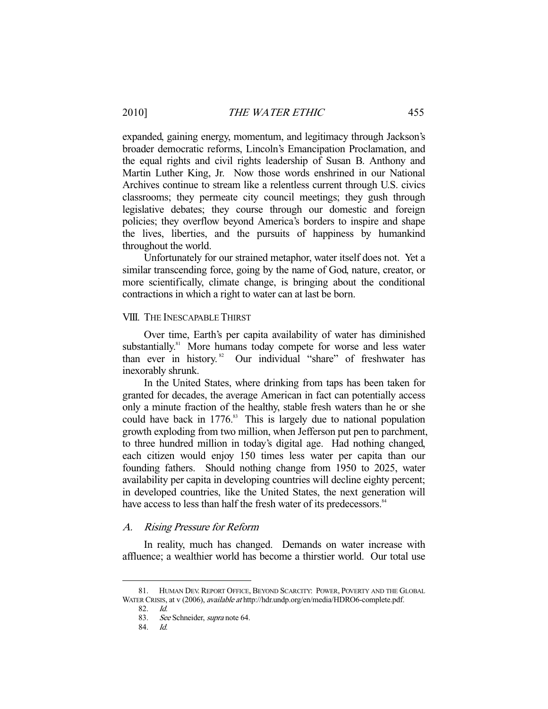expanded, gaining energy, momentum, and legitimacy through Jackson's broader democratic reforms, Lincoln's Emancipation Proclamation, and the equal rights and civil rights leadership of Susan B. Anthony and Martin Luther King, Jr. Now those words enshrined in our National Archives continue to stream like a relentless current through U.S. civics classrooms; they permeate city council meetings; they gush through legislative debates; they course through our domestic and foreign policies; they overflow beyond America's borders to inspire and shape the lives, liberties, and the pursuits of happiness by humankind throughout the world.

 Unfortunately for our strained metaphor, water itself does not. Yet a similar transcending force, going by the name of God, nature, creator, or more scientifically, climate change, is bringing about the conditional contractions in which a right to water can at last be born.

#### VIII. THE INESCAPABLE THIRST

 Over time, Earth's per capita availability of water has diminished substantially.<sup>81</sup> More humans today compete for worse and less water than ever in history.<sup>82</sup> Our individual "share" of freshwater has inexorably shrunk.

 In the United States, where drinking from taps has been taken for granted for decades, the average American in fact can potentially access only a minute fraction of the healthy, stable fresh waters than he or she could have back in  $1776$ .<sup>83</sup> This is largely due to national population growth exploding from two million, when Jefferson put pen to parchment, to three hundred million in today's digital age. Had nothing changed, each citizen would enjoy 150 times less water per capita than our founding fathers. Should nothing change from 1950 to 2025, water availability per capita in developing countries will decline eighty percent; in developed countries, like the United States, the next generation will have access to less than half the fresh water of its predecessors.<sup>84</sup>

## A. Rising Pressure for Reform

 In reality, much has changed. Demands on water increase with affluence; a wealthier world has become a thirstier world. Our total use

 <sup>81.</sup> HUMAN DEV. REPORT OFFICE, BEYOND SCARCITY: POWER, POVERTY AND THE GLOBAL WATER CRISIS, at v (2006), available at http://hdr.undp.org/en/media/HDRO6-complete.pdf.

 <sup>82.</sup> Id.

<sup>83.</sup> See Schneider, supra note 64.

 <sup>84.</sup> Id.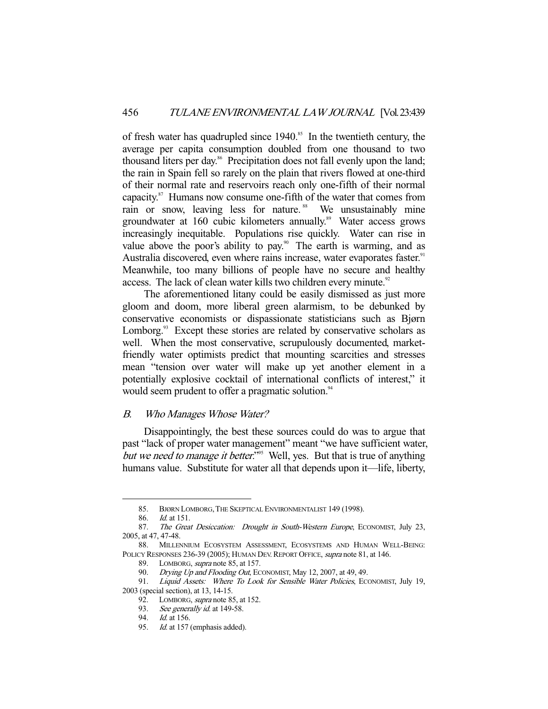of fresh water has quadrupled since 1940.<sup>85</sup> In the twentieth century, the average per capita consumption doubled from one thousand to two thousand liters per day.<sup>86</sup> Precipitation does not fall evenly upon the land; the rain in Spain fell so rarely on the plain that rivers flowed at one-third of their normal rate and reservoirs reach only one-fifth of their normal capacity.87 Humans now consume one-fifth of the water that comes from rain or snow, leaving less for nature.<sup>88</sup> We unsustainably mine groundwater at 160 cubic kilometers annually.<sup>89</sup> Water access grows increasingly inequitable. Populations rise quickly. Water can rise in value above the poor's ability to pay.<sup>90</sup> The earth is warming, and as Australia discovered, even where rains increase, water evaporates faster.<sup>91</sup> Meanwhile, too many billions of people have no secure and healthy access. The lack of clean water kills two children every minute.<sup>92</sup>

 The aforementioned litany could be easily dismissed as just more gloom and doom, more liberal green alarmism, to be debunked by conservative economists or dispassionate statisticians such as Bjørn Lomborg.<sup>93</sup> Except these stories are related by conservative scholars as well. When the most conservative, scrupulously documented, marketfriendly water optimists predict that mounting scarcities and stresses mean "tension over water will make up yet another element in a potentially explosive cocktail of international conflicts of interest," it would seem prudent to offer a pragmatic solution.<sup>94</sup>

## B. Who Manages Whose Water?

 Disappointingly, the best these sources could do was to argue that past "lack of proper water management" meant "we have sufficient water, but we need to manage it better."<sup>95</sup> Well, yes. But that is true of anything humans value. Substitute for water all that depends upon it—life, liberty,

 <sup>85.</sup> BJØRN LOMBORG,THE SKEPTICAL ENVIRONMENTALIST 149 (1998).

 <sup>86.</sup> Id. at 151.

<sup>87.</sup> The Great Desiccation: Drought in South-Western Europe, ECONOMIST, July 23, 2005, at 47, 47-48.

 <sup>88.</sup> MILLENNIUM ECOSYSTEM ASSESSMENT, ECOSYSTEMS AND HUMAN WELL-BEING: POLICY RESPONSES 236-39 (2005); HUMAN DEV. REPORT OFFICE, supra note 81, at 146.

<sup>89.</sup> LOMBORG, *supra* note 85, at 157.

<sup>90.</sup> Drying Up and Flooding Out, ECONOMIST, May 12, 2007, at 49, 49.

<sup>91.</sup> Liquid Assets: Where To Look for Sensible Water Policies, ECONOMIST, July 19, 2003 (special section), at 13, 14-15.

<sup>92.</sup> LOMBORG, *supra* note 85, at 152.

<sup>93.</sup> See generally id. at 149-58.

<sup>94.</sup> *Id.* at 156.

<sup>95.</sup> Id. at 157 (emphasis added).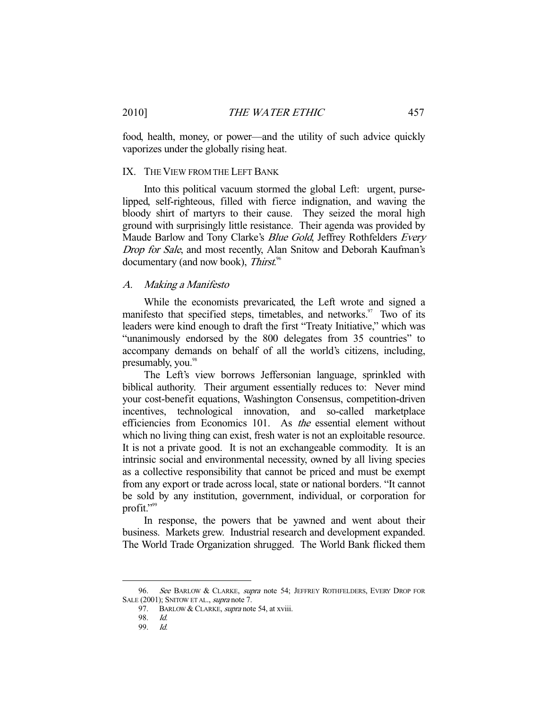food, health, money, or power—and the utility of such advice quickly vaporizes under the globally rising heat.

## IX. THE VIEW FROM THE LEFT BANK

 Into this political vacuum stormed the global Left: urgent, purselipped, self-righteous, filled with fierce indignation, and waving the bloody shirt of martyrs to their cause. They seized the moral high ground with surprisingly little resistance. Their agenda was provided by Maude Barlow and Tony Clarke's *Blue Gold*, Jeffrey Rothfelders *Every* Drop for Sale, and most recently, Alan Snitow and Deborah Kaufman's documentary (and now book), Thirst.<sup>96</sup>

#### A. Making a Manifesto

 While the economists prevaricated, the Left wrote and signed a manifesto that specified steps, timetables, and networks. $\frac{97}{100}$  Two of its leaders were kind enough to draft the first "Treaty Initiative," which was "unanimously endorsed by the 800 delegates from 35 countries" to accompany demands on behalf of all the world's citizens, including, presumably, you.<sup>98</sup>

 The Left's view borrows Jeffersonian language, sprinkled with biblical authority. Their argument essentially reduces to: Never mind your cost-benefit equations, Washington Consensus, competition-driven incentives, technological innovation, and so-called marketplace efficiencies from Economics 101. As the essential element without which no living thing can exist, fresh water is not an exploitable resource. It is not a private good. It is not an exchangeable commodity. It is an intrinsic social and environmental necessity, owned by all living species as a collective responsibility that cannot be priced and must be exempt from any export or trade across local, state or national borders. "It cannot be sold by any institution, government, individual, or corporation for profit."<sup>99</sup>

 In response, the powers that be yawned and went about their business. Markets grew. Industrial research and development expanded. The World Trade Organization shrugged. The World Bank flicked them

<sup>96.</sup> See BARLOW & CLARKE, supra note 54; JEFFREY ROTHFELDERS, EVERY DROP FOR SALE (2001); SNITOW ET AL., supra note 7.

<sup>97.</sup> BARLOW & CLARKE, *supra* note 54, at xviii.

 <sup>98.</sup> Id.

 <sup>99.</sup> Id.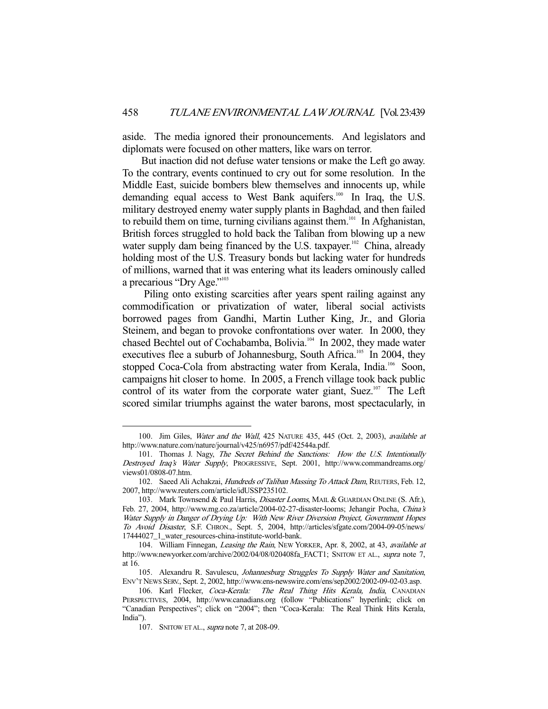aside. The media ignored their pronouncements. And legislators and diplomats were focused on other matters, like wars on terror.

 But inaction did not defuse water tensions or make the Left go away. To the contrary, events continued to cry out for some resolution. In the Middle East, suicide bombers blew themselves and innocents up, while demanding equal access to West Bank aquifers.<sup>100</sup> In Iraq, the U.S. military destroyed enemy water supply plants in Baghdad, and then failed to rebuild them on time, turning civilians against them.<sup>101</sup> In Afghanistan, British forces struggled to hold back the Taliban from blowing up a new water supply dam being financed by the U.S. taxpayer.<sup>102</sup> China, already holding most of the U.S. Treasury bonds but lacking water for hundreds of millions, warned that it was entering what its leaders ominously called a precarious "Dry Age."<sup>103</sup>

 Piling onto existing scarcities after years spent railing against any commodification or privatization of water, liberal social activists borrowed pages from Gandhi, Martin Luther King, Jr., and Gloria Steinem, and began to provoke confrontations over water. In 2000, they chased Bechtel out of Cochabamba, Bolivia.<sup>104</sup> In 2002, they made water executives flee a suburb of Johannesburg, South Africa.<sup>105</sup> In 2004, they stopped Coca-Cola from abstracting water from Kerala, India.<sup>106</sup> Soon, campaigns hit closer to home. In 2005, a French village took back public control of its water from the corporate water giant, Suez. $107$  The Left scored similar triumphs against the water barons, most spectacularly, in

<sup>100.</sup> Jim Giles, Water and the Wall, 425 NATURE 435, 445 (Oct. 2, 2003), available at http://www.nature.com/nature/journal/v425/n6957/pdf/42544a.pdf.

<sup>101.</sup> Thomas J. Nagy, The Secret Behind the Sanctions: How the U.S. Intentionally Destroyed Iraq's Water Supply, PROGRESSIVE, Sept. 2001, http://www.commandreams.org/ views01/0808-07.htm.

<sup>102.</sup> Saeed Ali Achakzai, Hundreds of Taliban Massing To Attack Dam, REUTERS, Feb. 12, 2007, http://www.reuters.com/article/idUSSP235102.

<sup>103.</sup> Mark Townsend & Paul Harris, *Disaster Looms*, MAIL & GUARDIAN ONLINE (S. Afr.), Feb. 27, 2004, http://www.mg.co.za/article/2004-02-27-disaster-looms; Jehangir Pocha, China's Water Supply in Danger of Drying Up: With New River Diversion Project, Government Hopes To Avoid Disaster, S.F. CHRON., Sept. 5, 2004, http://articles/sfgate.com/2004-09-05/news/ 17444027\_1\_water\_resources-china-institute-world-bank.

<sup>104.</sup> William Finnegan, Leasing the Rain, NEW YORKER, Apr. 8, 2002, at 43, available at http://www.newyorker.com/archive/2002/04/08/020408fa\_FACT1; SNITOW ET AL., supra note 7, at 16.

<sup>105.</sup> Alexandru R. Savulescu, Johannesburg Struggles To Supply Water and Sanitation, ENV'T NEWS SERV., Sept. 2, 2002, http://www.ens-newswire.com/ens/sep2002/2002-09-02-03.asp.

<sup>106.</sup> Karl Flecker, Coca-Kerala: The Real Thing Hits Kerala, India, CANADIAN PERSPECTIVES, 2004, http://www.canadians.org (follow "Publications" hyperlink; click on "Canadian Perspectives"; click on "2004"; then "Coca-Kerala: The Real Think Hits Kerala, India").

 <sup>107.</sup> SNITOW ET AL., supra note 7, at 208-09.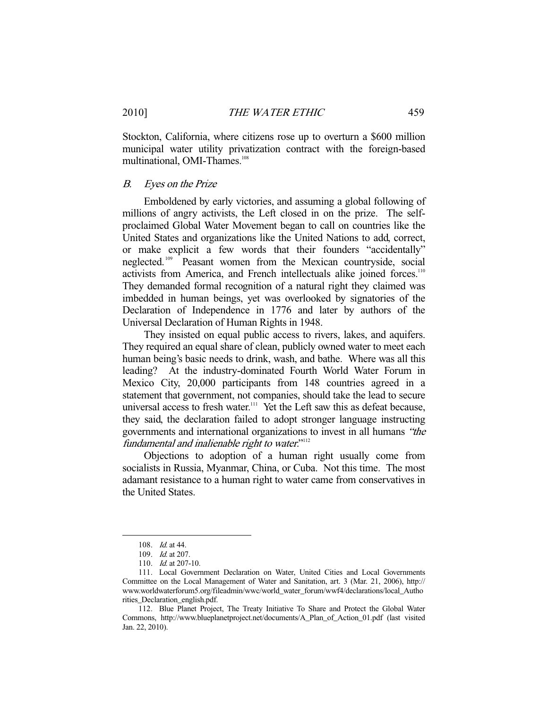Stockton, California, where citizens rose up to overturn a \$600 million municipal water utility privatization contract with the foreign-based multinational, OMI-Thames.<sup>108</sup>

#### B. Eyes on the Prize

 Emboldened by early victories, and assuming a global following of millions of angry activists, the Left closed in on the prize. The selfproclaimed Global Water Movement began to call on countries like the United States and organizations like the United Nations to add, correct, or make explicit a few words that their founders "accidentally" neglected. 109 Peasant women from the Mexican countryside, social activists from America, and French intellectuals alike joined forces.<sup>110</sup> They demanded formal recognition of a natural right they claimed was imbedded in human beings, yet was overlooked by signatories of the Declaration of Independence in 1776 and later by authors of the Universal Declaration of Human Rights in 1948.

 They insisted on equal public access to rivers, lakes, and aquifers. They required an equal share of clean, publicly owned water to meet each human being's basic needs to drink, wash, and bathe. Where was all this leading? At the industry-dominated Fourth World Water Forum in Mexico City, 20,000 participants from 148 countries agreed in a statement that government, not companies, should take the lead to secure universal access to fresh water.<sup>111</sup> Yet the Left saw this as defeat because, they said, the declaration failed to adopt stronger language instructing governments and international organizations to invest in all humans "the fundamental and inalienable right to water."<sup>112</sup>

 Objections to adoption of a human right usually come from socialists in Russia, Myanmar, China, or Cuba. Not this time. The most adamant resistance to a human right to water came from conservatives in the United States.

 <sup>108.</sup> Id. at 44.

 <sup>109.</sup> Id. at 207.

<sup>110.</sup> *Id.* at 207-10.

 <sup>111.</sup> Local Government Declaration on Water, United Cities and Local Governments Committee on the Local Management of Water and Sanitation, art. 3 (Mar. 21, 2006), http:// www.worldwaterforum5.org/fileadmin/wwc/world\_water\_forum/wwf4/declarations/local\_Autho rities\_Declaration\_english.pdf.

 <sup>112.</sup> Blue Planet Project, The Treaty Initiative To Share and Protect the Global Water Commons, http://www.blueplanetproject.net/documents/A\_Plan\_of\_Action\_01.pdf (last visited Jan. 22, 2010).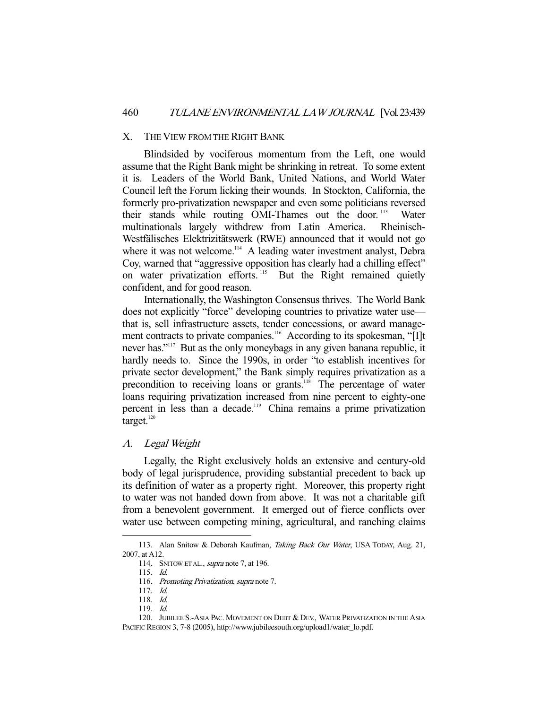#### X. THE VIEW FROM THE RIGHT BANK

 Blindsided by vociferous momentum from the Left, one would assume that the Right Bank might be shrinking in retreat. To some extent it is. Leaders of the World Bank, United Nations, and World Water Council left the Forum licking their wounds. In Stockton, California, the formerly pro-privatization newspaper and even some politicians reversed their stands while routing OMI-Thames out the door.<sup>113</sup> Water multinationals largely withdrew from Latin America. Rheinisch-Westfälisches Elektrizitätswerk (RWE) announced that it would not go where it was not welcome.<sup>114</sup> A leading water investment analyst, Debra Coy, warned that "aggressive opposition has clearly had a chilling effect" on water privatization efforts.<sup>115</sup> But the Right remained quietly confident, and for good reason.

 Internationally, the Washington Consensus thrives. The World Bank does not explicitly "force" developing countries to privatize water use that is, sell infrastructure assets, tender concessions, or award management contracts to private companies.<sup>116</sup> According to its spokesman, "[I]t never has."<sup>117</sup> But as the only moneybags in any given banana republic, it hardly needs to. Since the 1990s, in order "to establish incentives for private sector development," the Bank simply requires privatization as a precondition to receiving loans or grants.<sup>118</sup> The percentage of water loans requiring privatization increased from nine percent to eighty-one percent in less than a decade.<sup>119</sup> China remains a prime privatization target. $120$ 

## A. Legal Weight

 Legally, the Right exclusively holds an extensive and century-old body of legal jurisprudence, providing substantial precedent to back up its definition of water as a property right. Moreover, this property right to water was not handed down from above. It was not a charitable gift from a benevolent government. It emerged out of fierce conflicts over water use between competing mining, agricultural, and ranching claims

<sup>113.</sup> Alan Snitow & Deborah Kaufman, Taking Back Our Water, USA TODAY, Aug. 21, 2007, at A12.

<sup>114.</sup> SNITOW ET AL., supra note 7, at 196.

 <sup>115.</sup> Id.

<sup>116.</sup> Promoting Privatization, supra note 7.

 <sup>117.</sup> Id.

 <sup>118.</sup> Id.

 <sup>119.</sup> Id.

 <sup>120.</sup> JUBILEE S.-ASIA PAC. MOVEMENT ON DEBT & DEV., WATER PRIVATIZATION IN THE ASIA PACIFIC REGION 3, 7-8 (2005), http://www.jubileesouth.org/upload1/water\_lo.pdf.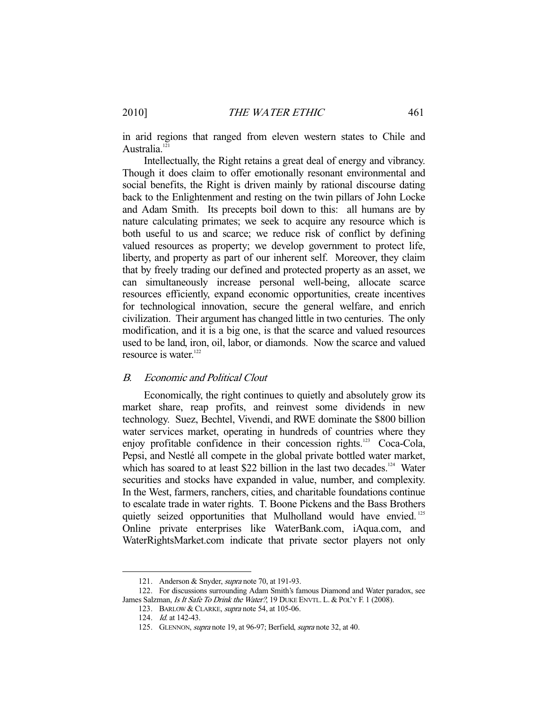in arid regions that ranged from eleven western states to Chile and Australia.<sup>121</sup>

 Intellectually, the Right retains a great deal of energy and vibrancy. Though it does claim to offer emotionally resonant environmental and social benefits, the Right is driven mainly by rational discourse dating back to the Enlightenment and resting on the twin pillars of John Locke and Adam Smith. Its precepts boil down to this: all humans are by nature calculating primates; we seek to acquire any resource which is both useful to us and scarce; we reduce risk of conflict by defining valued resources as property; we develop government to protect life, liberty, and property as part of our inherent self. Moreover, they claim that by freely trading our defined and protected property as an asset, we can simultaneously increase personal well-being, allocate scarce resources efficiently, expand economic opportunities, create incentives for technological innovation, secure the general welfare, and enrich civilization. Their argument has changed little in two centuries. The only modification, and it is a big one, is that the scarce and valued resources used to be land, iron, oil, labor, or diamonds. Now the scarce and valued resource is water.<sup>122</sup>

#### B. Economic and Political Clout

 Economically, the right continues to quietly and absolutely grow its market share, reap profits, and reinvest some dividends in new technology. Suez, Bechtel, Vivendi, and RWE dominate the \$800 billion water services market, operating in hundreds of countries where they enjoy profitable confidence in their concession rights.<sup>123</sup> Coca-Cola, Pepsi, and Nestlé all compete in the global private bottled water market, which has soared to at least \$22 billion in the last two decades.<sup>124</sup> Water securities and stocks have expanded in value, number, and complexity. In the West, farmers, ranchers, cities, and charitable foundations continue to escalate trade in water rights. T. Boone Pickens and the Bass Brothers quietly seized opportunities that Mulholland would have envied.<sup>125</sup> Online private enterprises like WaterBank.com, iAqua.com, and WaterRightsMarket.com indicate that private sector players not only

 <sup>121.</sup> Anderson & Snyder, supra note 70, at 191-93.

 <sup>122.</sup> For discussions surrounding Adam Smith's famous Diamond and Water paradox, see James Salzman, Is It Safe To Drink the Water?, 19 DUKE ENVTL. L. & POL'Y F. 1 (2008).

<sup>123.</sup> BARLOW & CLARKE, *supra* note 54, at 105-06.

 <sup>124.</sup> Id. at 142-43.

<sup>125.</sup> GLENNON, *supra* note 19, at 96-97; Berfield, *supra* note 32, at 40.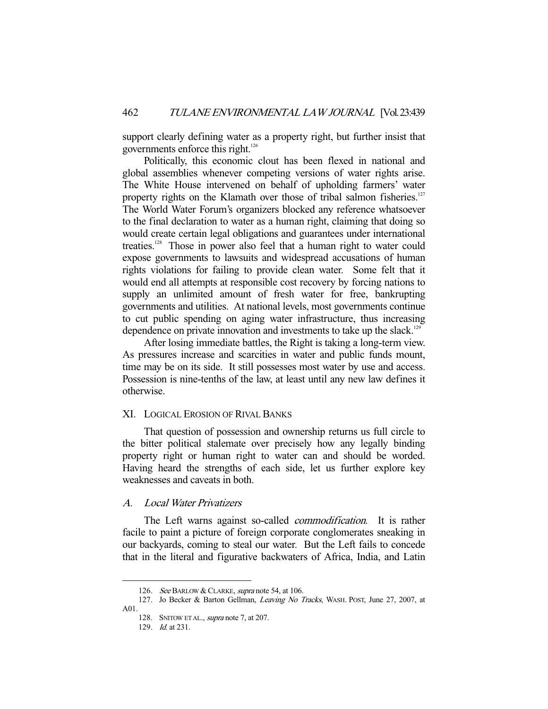support clearly defining water as a property right, but further insist that governments enforce this right.<sup>126</sup>

 Politically, this economic clout has been flexed in national and global assemblies whenever competing versions of water rights arise. The White House intervened on behalf of upholding farmers' water property rights on the Klamath over those of tribal salmon fisheries.<sup>127</sup> The World Water Forum's organizers blocked any reference whatsoever to the final declaration to water as a human right, claiming that doing so would create certain legal obligations and guarantees under international treaties.<sup>128</sup> Those in power also feel that a human right to water could expose governments to lawsuits and widespread accusations of human rights violations for failing to provide clean water. Some felt that it would end all attempts at responsible cost recovery by forcing nations to supply an unlimited amount of fresh water for free, bankrupting governments and utilities. At national levels, most governments continue to cut public spending on aging water infrastructure, thus increasing dependence on private innovation and investments to take up the slack.<sup>129</sup>

 After losing immediate battles, the Right is taking a long-term view. As pressures increase and scarcities in water and public funds mount, time may be on its side. It still possesses most water by use and access. Possession is nine-tenths of the law, at least until any new law defines it otherwise.

## XI. LOGICAL EROSION OF RIVAL BANKS

 That question of possession and ownership returns us full circle to the bitter political stalemate over precisely how any legally binding property right or human right to water can and should be worded. Having heard the strengths of each side, let us further explore key weaknesses and caveats in both.

## A. Local Water Privatizers

The Left warns against so-called *commodification*. It is rather facile to paint a picture of foreign corporate conglomerates sneaking in our backyards, coming to steal our water. But the Left fails to concede that in the literal and figurative backwaters of Africa, India, and Latin

<sup>126.</sup> See BARLOW & CLARKE, supra note 54, at 106.

<sup>127.</sup> Jo Becker & Barton Gellman, Leaving No Tracks, WASH. POST, June 27, 2007, at A01.

<sup>128.</sup> SNITOW ET AL., *supra* note 7, at 207.

 <sup>129.</sup> Id. at 231.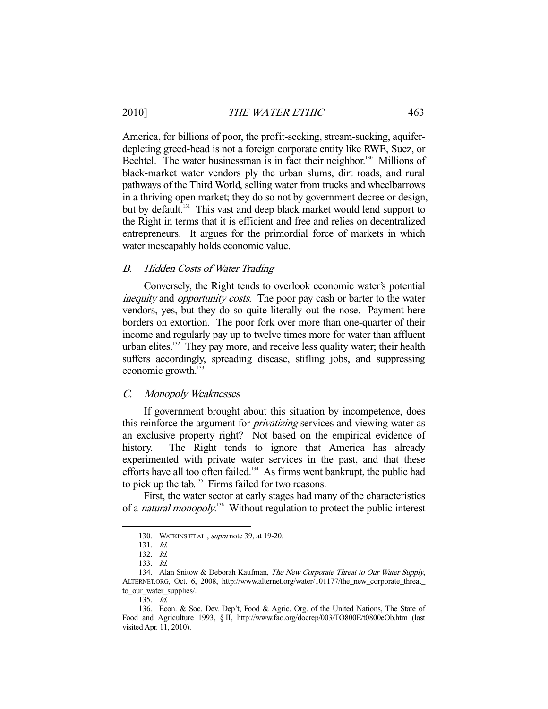## 2010] THE WATER ETHIC 463

America, for billions of poor, the profit-seeking, stream-sucking, aquiferdepleting greed-head is not a foreign corporate entity like RWE, Suez, or Bechtel. The water businessman is in fact their neighbor.<sup>130</sup> Millions of black-market water vendors ply the urban slums, dirt roads, and rural pathways of the Third World, selling water from trucks and wheelbarrows in a thriving open market; they do so not by government decree or design, but by default.<sup>131</sup> This vast and deep black market would lend support to the Right in terms that it is efficient and free and relies on decentralized entrepreneurs. It argues for the primordial force of markets in which water inescapably holds economic value.

#### B. Hidden Costs of Water Trading

 Conversely, the Right tends to overlook economic water's potential inequity and *opportunity costs*. The poor pay cash or barter to the water vendors, yes, but they do so quite literally out the nose. Payment here borders on extortion. The poor fork over more than one-quarter of their income and regularly pay up to twelve times more for water than affluent urban elites.<sup>132</sup> They pay more, and receive less quality water; their health suffers accordingly, spreading disease, stifling jobs, and suppressing economic growth. $<sup>1</sup>$ </sup>

## C. Monopoly Weaknesses

 If government brought about this situation by incompetence, does this reinforce the argument for *privatizing* services and viewing water as an exclusive property right? Not based on the empirical evidence of history. The Right tends to ignore that America has already experimented with private water services in the past, and that these efforts have all too often failed.<sup>134</sup> As firms went bankrupt, the public had to pick up the tab.<sup>135</sup> Firms failed for two reasons.

 First, the water sector at early stages had many of the characteristics of a *natural monopoly*.<sup>136</sup> Without regulation to protect the public interest

 <sup>130.</sup> WATKINS ET AL., supra note 39, at 19-20.

 <sup>131.</sup> Id.

 <sup>132.</sup> Id.

 <sup>133.</sup> Id.

<sup>134.</sup> Alan Snitow & Deborah Kaufman, The New Corporate Threat to Our Water Supply, ALTERNET.ORG, Oct. 6, 2008, http://www.alternet.org/water/101177/the\_new\_corporate\_threat\_ to\_our\_water\_supplies/.

 <sup>135.</sup> Id.

 <sup>136.</sup> Econ. & Soc. Dev. Dep't, Food & Agric. Org. of the United Nations, The State of Food and Agriculture 1993, § II, http://www.fao.org/docrep/003/TO800E/t0800eOb.htm (last visited Apr. 11, 2010).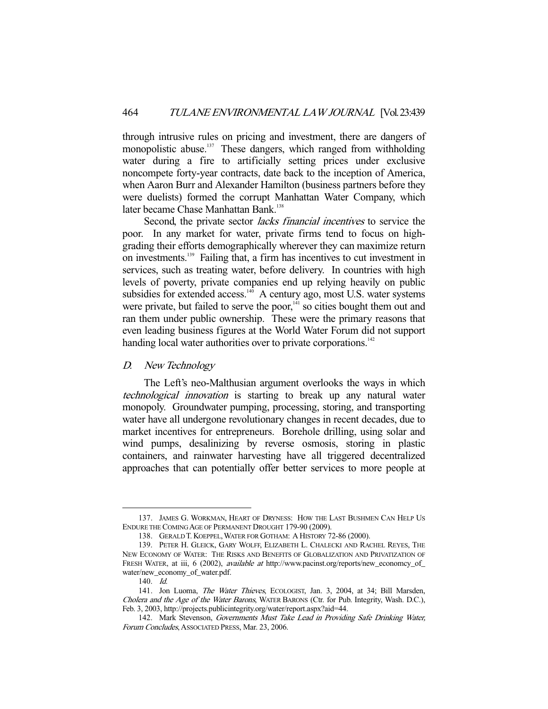through intrusive rules on pricing and investment, there are dangers of monopolistic abuse.<sup>137</sup> These dangers, which ranged from withholding water during a fire to artificially setting prices under exclusive noncompete forty-year contracts, date back to the inception of America, when Aaron Burr and Alexander Hamilton (business partners before they were duelists) formed the corrupt Manhattan Water Company, which later became Chase Manhattan Bank.<sup>138</sup>

Second, the private sector *lacks financial incentives* to service the poor. In any market for water, private firms tend to focus on highgrading their efforts demographically wherever they can maximize return on investments.139 Failing that, a firm has incentives to cut investment in services, such as treating water, before delivery. In countries with high levels of poverty, private companies end up relying heavily on public subsidies for extended access. $140$  A century ago, most U.S. water systems were private, but failed to serve the poor,<sup>141</sup> so cities bought them out and ran them under public ownership. These were the primary reasons that even leading business figures at the World Water Forum did not support handing local water authorities over to private corporations.<sup>142</sup>

## D. New Technology

 The Left's neo-Malthusian argument overlooks the ways in which technological innovation is starting to break up any natural water monopoly. Groundwater pumping, processing, storing, and transporting water have all undergone revolutionary changes in recent decades, due to market incentives for entrepreneurs. Borehole drilling, using solar and wind pumps, desalinizing by reverse osmosis, storing in plastic containers, and rainwater harvesting have all triggered decentralized approaches that can potentially offer better services to more people at

 <sup>137.</sup> JAMES G. WORKMAN, HEART OF DRYNESS: HOW THE LAST BUSHMEN CAN HELP US ENDURE THE COMING AGE OF PERMANENT DROUGHT 179-90 (2009).

 <sup>138.</sup> GERALD T. KOEPPEL,WATER FOR GOTHAM: A HISTORY 72-86 (2000).

 <sup>139.</sup> PETER H. GLEICK, GARY WOLFF, ELIZABETH L. CHALECKI AND RACHEL REYES, THE NEW ECONOMY OF WATER: THE RISKS AND BENEFITS OF GLOBALIZATION AND PRIVATIZATION OF FRESH WATER, at iii, 6 (2002), available at http://www.pacinst.org/reports/new\_economcy\_of\_ water/new\_economy\_of\_water.pdf.

 <sup>140.</sup> Id.

 <sup>141.</sup> Jon Luoma, The Water Thieves, ECOLOGIST, Jan. 3, 2004, at 34; Bill Marsden, Cholera and the Age of the Water Barons, WATER BARONS (Ctr. for Pub. Integrity, Wash. D.C.), Feb. 3, 2003, http://projects.publicintegrity.org/water/report.aspx?aid=44.

<sup>142.</sup> Mark Stevenson, Governments Must Take Lead in Providing Safe Drinking Water, Forum Concludes, ASSOCIATED PRESS, Mar. 23, 2006.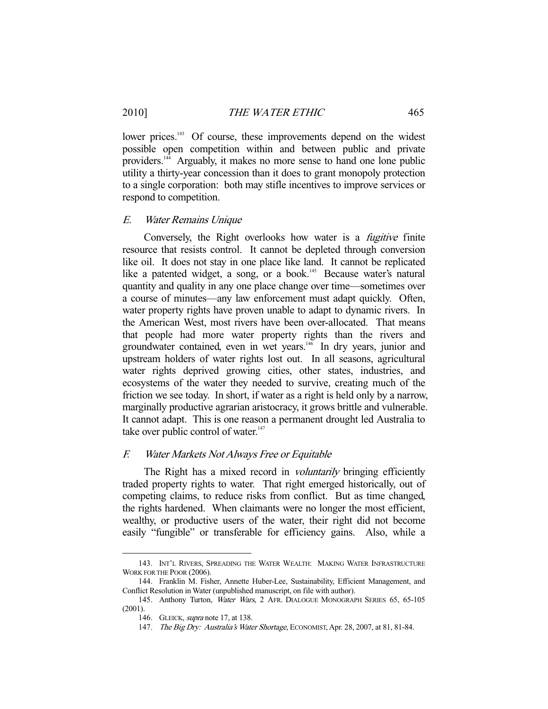lower prices.<sup>143</sup> Of course, these improvements depend on the widest possible open competition within and between public and private providers.144 Arguably, it makes no more sense to hand one lone public utility a thirty-year concession than it does to grant monopoly protection to a single corporation: both may stifle incentives to improve services or respond to competition.

#### E. Water Remains Unique

Conversely, the Right overlooks how water is a *fugitive* finite resource that resists control. It cannot be depleted through conversion like oil. It does not stay in one place like land. It cannot be replicated like a patented widget, a song, or a book.<sup>145</sup> Because water's natural quantity and quality in any one place change over time—sometimes over a course of minutes—any law enforcement must adapt quickly. Often, water property rights have proven unable to adapt to dynamic rivers. In the American West, most rivers have been over-allocated. That means that people had more water property rights than the rivers and groundwater contained, even in wet years.<sup>146</sup> In dry years, junior and upstream holders of water rights lost out. In all seasons, agricultural water rights deprived growing cities, other states, industries, and ecosystems of the water they needed to survive, creating much of the friction we see today. In short, if water as a right is held only by a narrow, marginally productive agrarian aristocracy, it grows brittle and vulnerable. It cannot adapt. This is one reason a permanent drought led Australia to take over public control of water. $147$ 

## F. Water Markets Not Always Free or Equitable

The Right has a mixed record in *voluntarily* bringing efficiently traded property rights to water. That right emerged historically, out of competing claims, to reduce risks from conflict. But as time changed, the rights hardened. When claimants were no longer the most efficient, wealthy, or productive users of the water, their right did not become easily "fungible" or transferable for efficiency gains. Also, while a

 <sup>143.</sup> INT'L RIVERS, SPREADING THE WATER WEALTH: MAKING WATER INFRASTRUCTURE WORK FOR THE POOR (2006).

 <sup>144.</sup> Franklin M. Fisher, Annette Huber-Lee, Sustainability, Efficient Management, and Conflict Resolution in Water (unpublished manuscript, on file with author).

<sup>145.</sup> Anthony Turton, Water Wars, 2 AFR. DIALOGUE MONOGRAPH SERIES 65, 65-105 (2001).

 <sup>146.</sup> GLEICK, supra note 17, at 138.

<sup>147.</sup> The Big Dry: Australia's Water Shortage, ECONOMIST, Apr. 28, 2007, at 81, 81-84.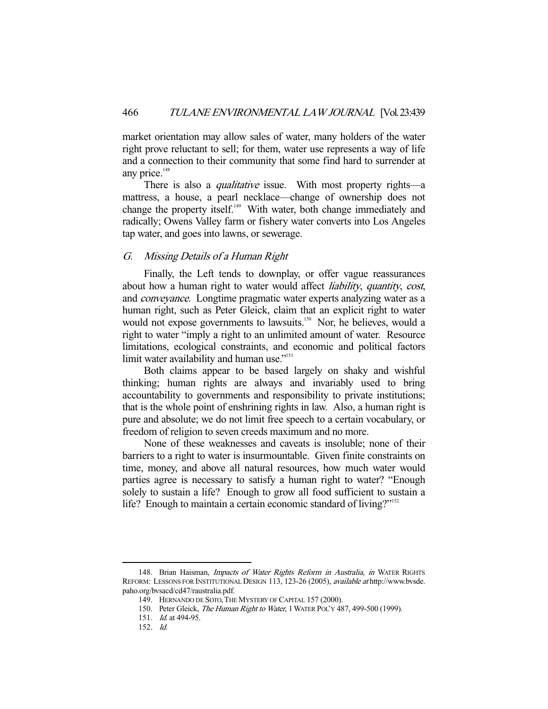market orientation may allow sales of water, many holders of the water right prove reluctant to sell; for them, water use represents a way of life and a connection to their community that some find hard to surrender at any price. $148$ 

There is also a *qualitative* issue. With most property rights—a mattress, a house, a pearl necklace—change of ownership does not change the property itself.<sup>149</sup> With water, both change immediately and radically; Owens Valley farm or fishery water converts into Los Angeles tap water, and goes into lawns, or sewerage.

## G. Missing Details of a Human Right

 Finally, the Left tends to downplay, or offer vague reassurances about how a human right to water would affect *liability*, *quantity*, *cost*, and conveyance. Longtime pragmatic water experts analyzing water as a human right, such as Peter Gleick, claim that an explicit right to water would not expose governments to lawsuits.<sup>150</sup> Nor, he believes, would a right to water "imply a right to an unlimited amount of water. Resource limitations, ecological constraints, and economic and political factors limit water availability and human use."<sup>151</sup>

 Both claims appear to be based largely on shaky and wishful thinking; human rights are always and invariably used to bring accountability to governments and responsibility to private institutions; that is the whole point of enshrining rights in law. Also, a human right is pure and absolute; we do not limit free speech to a certain vocabulary, or freedom of religion to seven creeds maximum and no more.

 None of these weaknesses and caveats is insoluble; none of their barriers to a right to water is insurmountable. Given finite constraints on time, money, and above all natural resources, how much water would parties agree is necessary to satisfy a human right to water? "Enough solely to sustain a life? Enough to grow all food sufficient to sustain a life? Enough to maintain a certain economic standard of living?"<sup>152</sup>

<sup>148.</sup> Brian Haisman, Impacts of Water Rights Reform in Australia, in WATER RIGHTS REFORM: LESSONS FOR INSTITUTIONAL DESIGN 113, 123-26 (2005), available at http://www.bvsde. paho.org/bvsacd/cd47/raustralia.pdf.

 <sup>149.</sup> HERNANDO DE SOTO,THE MYSTERY OF CAPITAL 157 (2000).

<sup>150.</sup> Peter Gleick, The Human Right to Water, 1 WATER POL'Y 487, 499-500 (1999).

 <sup>151.</sup> Id. at 494-95.

 <sup>152.</sup> Id.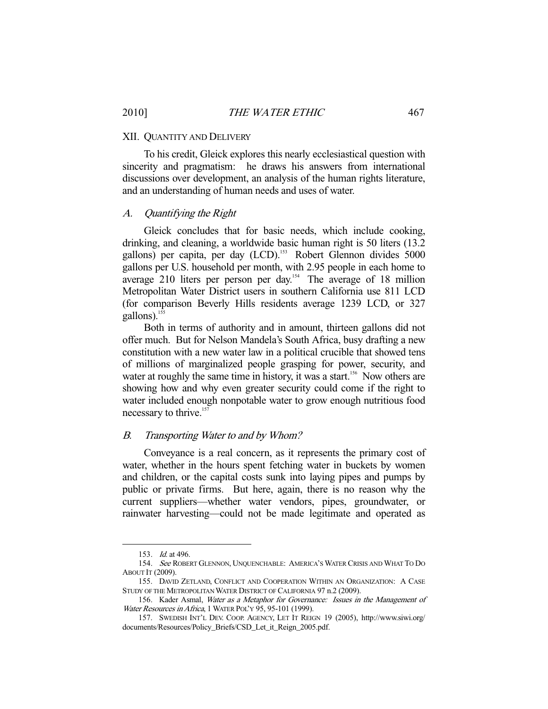#### XII. QUANTITY AND DELIVERY

 To his credit, Gleick explores this nearly ecclesiastical question with sincerity and pragmatism: he draws his answers from international discussions over development, an analysis of the human rights literature, and an understanding of human needs and uses of water.

## A. Quantifying the Right

 Gleick concludes that for basic needs, which include cooking, drinking, and cleaning, a worldwide basic human right is 50 liters (13.2 gallons) per capita, per day (LCD).<sup>153</sup> Robert Glennon divides 5000 gallons per U.S. household per month, with 2.95 people in each home to average 210 liters per person per day.<sup>154</sup> The average of 18 million Metropolitan Water District users in southern California use 811 LCD (for comparison Beverly Hills residents average 1239 LCD, or 327 gallons).<sup>155</sup>

 Both in terms of authority and in amount, thirteen gallons did not offer much. But for Nelson Mandela's South Africa, busy drafting a new constitution with a new water law in a political crucible that showed tens of millions of marginalized people grasping for power, security, and water at roughly the same time in history, it was a start.<sup>156</sup> Now others are showing how and why even greater security could come if the right to water included enough nonpotable water to grow enough nutritious food necessary to thrive.<sup>157</sup>

### B. Transporting Water to and by Whom?

 Conveyance is a real concern, as it represents the primary cost of water, whether in the hours spent fetching water in buckets by women and children, or the capital costs sunk into laying pipes and pumps by public or private firms. But here, again, there is no reason why the current suppliers—whether water vendors, pipes, groundwater, or rainwater harvesting—could not be made legitimate and operated as

 <sup>153.</sup> Id. at 496.

 <sup>154.</sup> See ROBERT GLENNON, UNQUENCHABLE: AMERICA'S WATER CRISIS AND WHAT TO DO ABOUT IT (2009).

 <sup>155.</sup> DAVID ZETLAND, CONFLICT AND COOPERATION WITHIN AN ORGANIZATION: A CASE STUDY OF THE METROPOLITAN WATER DISTRICT OF CALIFORNIA 97 n.2 (2009).

 <sup>156.</sup> Kader Asmal, Water as a Metaphor for Governance: Issues in the Management of Water Resources in Africa, 1 WATER POL'Y 95, 95-101 (1999).

 <sup>157.</sup> SWEDISH INT'L DEV. COOP. AGENCY, LET IT REIGN 19 (2005), http://www.siwi.org/ documents/Resources/Policy\_Briefs/CSD\_Let\_it\_Reign\_2005.pdf.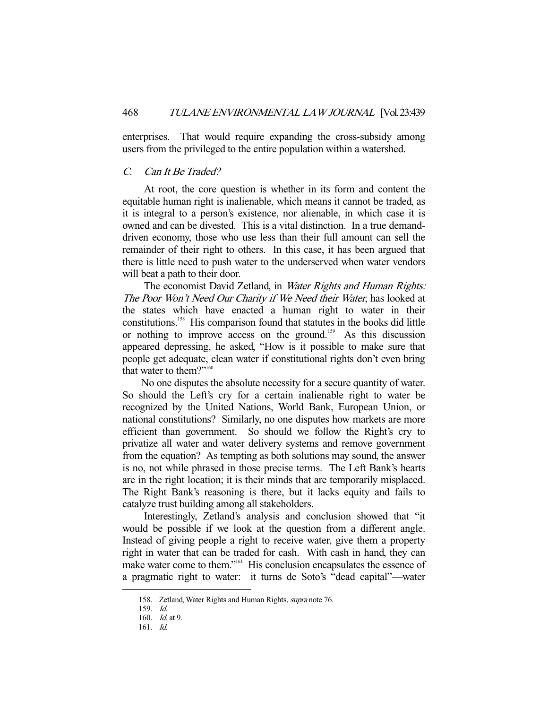enterprises. That would require expanding the cross-subsidy among users from the privileged to the entire population within a watershed.

## C. Can It Be Traded?

 At root, the core question is whether in its form and content the equitable human right is inalienable, which means it cannot be traded, as it is integral to a person's existence, nor alienable, in which case it is owned and can be divested. This is a vital distinction. In a true demanddriven economy, those who use less than their full amount can sell the remainder of their right to others. In this case, it has been argued that there is little need to push water to the underserved when water vendors will beat a path to their door.

The economist David Zetland, in Water Rights and Human Rights: The Poor Won't Need Our Charity if We Need their Water, has looked at the states which have enacted a human right to water in their constitutions.158 His comparison found that statutes in the books did little or nothing to improve access on the ground.<sup>159</sup> As this discussion appeared depressing, he asked, "How is it possible to make sure that people get adequate, clean water if constitutional rights don't even bring that water to them?"<sup>160</sup>

 No one disputes the absolute necessity for a secure quantity of water. So should the Left's cry for a certain inalienable right to water be recognized by the United Nations, World Bank, European Union, or national constitutions? Similarly, no one disputes how markets are more efficient than government. So should we follow the Right's cry to privatize all water and water delivery systems and remove government from the equation? As tempting as both solutions may sound, the answer is no, not while phrased in those precise terms. The Left Bank's hearts are in the right location; it is their minds that are temporarily misplaced. The Right Bank's reasoning is there, but it lacks equity and fails to catalyze trust building among all stakeholders.

 Interestingly, Zetland's analysis and conclusion showed that "it would be possible if we look at the question from a different angle. Instead of giving people a right to receive water, give them a property right in water that can be traded for cash. With cash in hand, they can make water come to them."161 His conclusion encapsulates the essence of a pragmatic right to water: it turns de Soto's "dead capital"—water

<sup>158.</sup> Zetland, Water Rights and Human Rights, supra note 76.

 <sup>159.</sup> Id.

 <sup>160.</sup> Id. at 9.

 <sup>161.</sup> Id.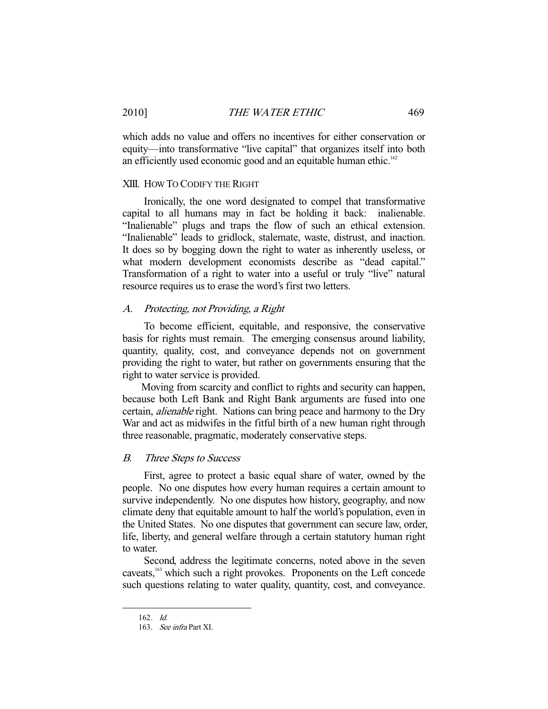which adds no value and offers no incentives for either conservation or equity—into transformative "live capital" that organizes itself into both an efficiently used economic good and an equitable human ethic.<sup>162</sup>

### XIII. HOW TO CODIFY THE RIGHT

 Ironically, the one word designated to compel that transformative capital to all humans may in fact be holding it back: inalienable. "Inalienable" plugs and traps the flow of such an ethical extension. "Inalienable" leads to gridlock, stalemate, waste, distrust, and inaction. It does so by bogging down the right to water as inherently useless, or what modern development economists describe as "dead capital." Transformation of a right to water into a useful or truly "live" natural resource requires us to erase the word's first two letters.

### A. Protecting, not Providing, a Right

 To become efficient, equitable, and responsive, the conservative basis for rights must remain. The emerging consensus around liability, quantity, quality, cost, and conveyance depends not on government providing the right to water, but rather on governments ensuring that the right to water service is provided.

 Moving from scarcity and conflict to rights and security can happen, because both Left Bank and Right Bank arguments are fused into one certain, alienable right. Nations can bring peace and harmony to the Dry War and act as midwifes in the fitful birth of a new human right through three reasonable, pragmatic, moderately conservative steps.

## B. Three Steps to Success

 First, agree to protect a basic equal share of water, owned by the people. No one disputes how every human requires a certain amount to survive independently. No one disputes how history, geography, and now climate deny that equitable amount to half the world's population, even in the United States. No one disputes that government can secure law, order, life, liberty, and general welfare through a certain statutory human right to water.

 Second, address the legitimate concerns, noted above in the seven caveats,<sup>163</sup> which such a right provokes. Proponents on the Left concede such questions relating to water quality, quantity, cost, and conveyance.

 <sup>162.</sup> Id.

 <sup>163.</sup> See infra Part XI.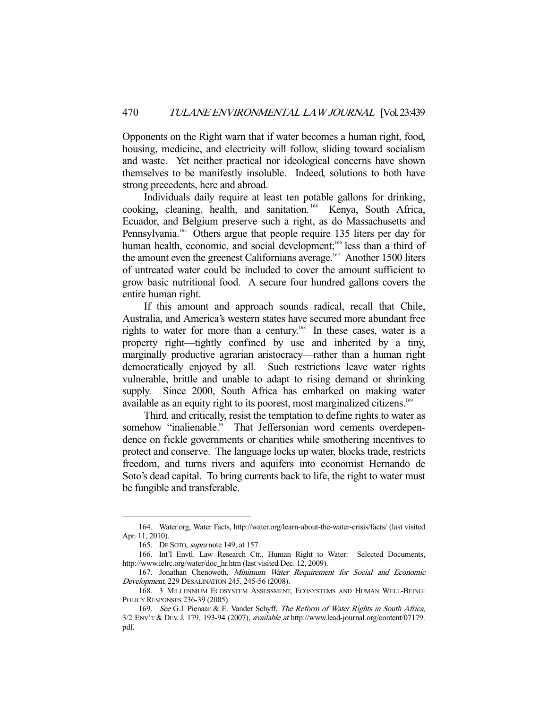Opponents on the Right warn that if water becomes a human right, food, housing, medicine, and electricity will follow, sliding toward socialism and waste. Yet neither practical nor ideological concerns have shown themselves to be manifestly insoluble. Indeed, solutions to both have strong precedents, here and abroad.

 Individuals daily require at least ten potable gallons for drinking, cooking, cleaning, health, and sanitation. 164 Kenya, South Africa, Ecuador, and Belgium preserve such a right, as do Massachusetts and Pennsylvania.<sup>165</sup> Others argue that people require 135 liters per day for human health, economic, and social development;<sup>166</sup> less than a third of the amount even the greenest Californians average.<sup>167</sup> Another 1500 liters of untreated water could be included to cover the amount sufficient to grow basic nutritional food. A secure four hundred gallons covers the entire human right.

 If this amount and approach sounds radical, recall that Chile, Australia, and America's western states have secured more abundant free rights to water for more than a century.<sup>168</sup> In these cases, water is a property right—tightly confined by use and inherited by a tiny, marginally productive agrarian aristocracy—rather than a human right democratically enjoyed by all. Such restrictions leave water rights vulnerable, brittle and unable to adapt to rising demand or shrinking supply. Since 2000, South Africa has embarked on making water available as an equity right to its poorest, most marginalized citizens.<sup>169</sup>

 Third, and critically, resist the temptation to define rights to water as somehow "inalienable." That Jeffersonian word cements overdependence on fickle governments or charities while smothering incentives to protect and conserve. The language locks up water, blocks trade, restricts freedom, and turns rivers and aquifers into economist Hernando de Soto's dead capital. To bring currents back to life, the right to water must be fungible and transferable.

 <sup>164.</sup> Water.org, Water Facts, http://water.org/learn-about-the-water-crisis/facts/ (last visited Apr. 11, 2010).

 <sup>165.</sup> DE SOTO, supra note 149, at 157.

 <sup>166.</sup> Int'l Envtl. Law Research Ctr., Human Right to Water: Selected Documents, http://www.ielrc.org/water/doc\_hr.htm (last visited Dec. 12, 2009).

 <sup>167.</sup> Jonathan Chenoweth, Minimum Water Requirement for Social and Economic Development, 229 DESALINATION 245, 245-56 (2008).

 <sup>168. 3</sup> MILLENNIUM ECOSYSTEM ASSESSMENT, ECOSYSTEMS AND HUMAN WELL-BEING: POLICY RESPONSES 236-39 (2005).

<sup>169.</sup> See G.J. Pienaar & E. Vander Schyff, The Reform of Water Rights in South Africa,  $3/2$  ENV'T & DEV. J. 179, 193-94 (2007), *available at* http://www.lead-journal.org/content/07179. pdf.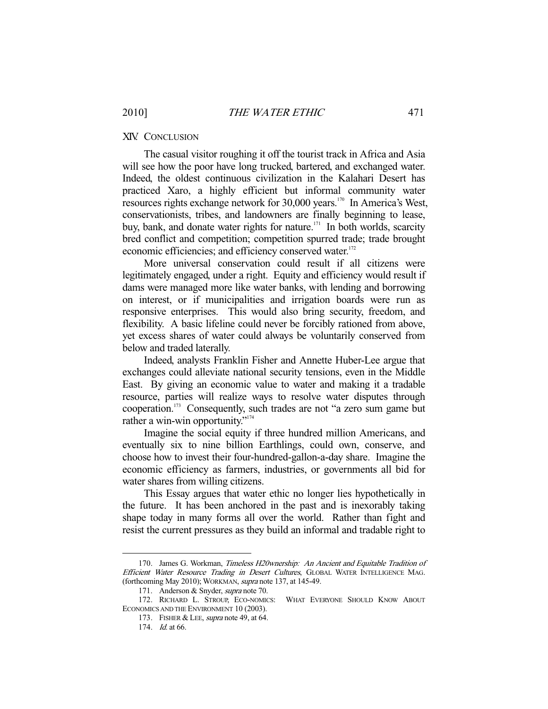# XIV. CONCLUSION

 The casual visitor roughing it off the tourist track in Africa and Asia will see how the poor have long trucked, bartered, and exchanged water. Indeed, the oldest continuous civilization in the Kalahari Desert has practiced Xaro, a highly efficient but informal community water resources rights exchange network for 30,000 years.170 In America's West, conservationists, tribes, and landowners are finally beginning to lease, buy, bank, and donate water rights for nature.<sup>171</sup> In both worlds, scarcity bred conflict and competition; competition spurred trade; trade brought economic efficiencies; and efficiency conserved water.<sup>172</sup>

 More universal conservation could result if all citizens were legitimately engaged, under a right. Equity and efficiency would result if dams were managed more like water banks, with lending and borrowing on interest, or if municipalities and irrigation boards were run as responsive enterprises. This would also bring security, freedom, and flexibility. A basic lifeline could never be forcibly rationed from above, yet excess shares of water could always be voluntarily conserved from below and traded laterally.

 Indeed, analysts Franklin Fisher and Annette Huber-Lee argue that exchanges could alleviate national security tensions, even in the Middle East. By giving an economic value to water and making it a tradable resource, parties will realize ways to resolve water disputes through cooperation.173 Consequently, such trades are not "a zero sum game but rather a win-win opportunity."<sup>174</sup>

 Imagine the social equity if three hundred million Americans, and eventually six to nine billion Earthlings, could own, conserve, and choose how to invest their four-hundred-gallon-a-day share. Imagine the economic efficiency as farmers, industries, or governments all bid for water shares from willing citizens.

 This Essay argues that water ethic no longer lies hypothetically in the future. It has been anchored in the past and is inexorably taking shape today in many forms all over the world. Rather than fight and resist the current pressures as they build an informal and tradable right to

<sup>170.</sup> James G. Workman, Timeless H20wnership: An Ancient and Equitable Tradition of Efficient Water Resource Trading in Desert Cultures, GLOBAL WATER INTELLIGENCE MAG. (forthcoming May 2010); WORKMAN, supra note 137, at 145-49.

 <sup>171.</sup> Anderson & Snyder, supra note 70.

 <sup>172.</sup> RICHARD L. STROUP, ECO-NOMICS: WHAT EVERYONE SHOULD KNOW ABOUT ECONOMICS AND THE ENVIRONMENT 10 (2003).

<sup>173.</sup> FISHER & LEE, *supra* note 49, at 64.

 <sup>174.</sup> Id. at 66.